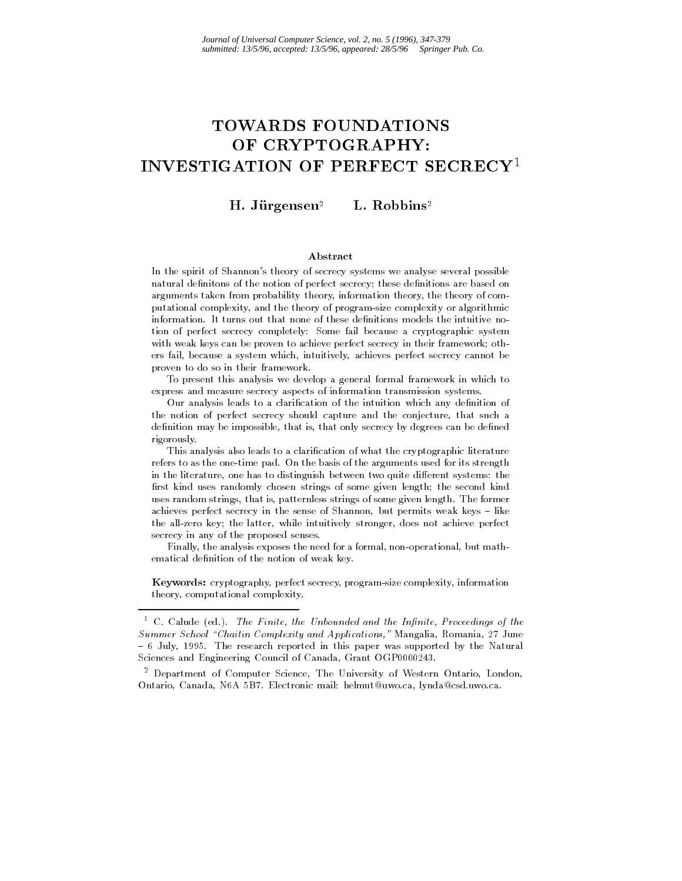# TOWARDS FOUNDATIONS OF CRYPTOGRAPHY: INVESTIGATION OF PERFECT SECRECY1

 $H.$  Jürgensen<sup>2</sup> L. Robbins<sup>2</sup>

#### Abstract

In the spirit of Shannon's theory of secrecy systems we analyse several possible natural definitons of the notion of perfect secrecy; these definitions are based on arguments taken from probability theory, information theory, the theory of computational complexity, and the theory of program-size complexity or algorithmic information. It turns out that none of these denitions models the intuitive notion of perfect secrecy completely: Some fail because a cryptographic system with weak keys can be proven to achieve perfect secrecy in their framework; others fail, because a system which, intuitively, achieves perfect secrecy cannot be proven to do so in their framework.

To present this analysis we develop a general formal framework in which to express and measure secrecy aspects of information transmission systems.

Our analysis leads to a clarification of the intuition which any definition of the notion of perfect secrecy should capture and the conjecture, that such a definition may be impossible, that is, that only secrecy by degrees can be defined rigorously. rigorously.

This analysis also leads to a clarication of what the cryptographic literature refers to as the one-time pad. On the basis of the arguments used for its strength in the literature, one has to distinguish between two quite different systems: the first kind uses randomly chosen strings of some given length; the second kind uses random strings, that is, patternless strings of some given length. The former achieves perfect secrecy in the sense of Shannon, but permits weak keys  $-$  like the all-zero key; the latter, while intuitively stronger, does not achieve perfect secrecy in any of the proposed senses.

Finally, the analysis exposes the need for a formal, non-operational, but mathematical definition of the notion of weak key.

Keywords: cryptography, perfect secrecy, program-size complexity, information theory, computational complexity.

 $\,$   $\,$  C  $\,$  C  $\,$  C  $\,$  Cd.). The Finite, the Unbounded and the Infinite, Proceedings of the  $\,$ Summer School "Chaitin Complexity and Applications," Mangalia, Romania, 27 June  $-6$  July, 1995. The research reported in this paper was supported by the Natural Sciences and Engineering Council of Canada, Grant OGP0000243.

<sup>2</sup> Department of Computer Science, The University of Western Ontario, London, Ontario, Canada, N6A 5B7. Electronic mail: helmut@uwo.ca, lynda@csd.uwo.ca.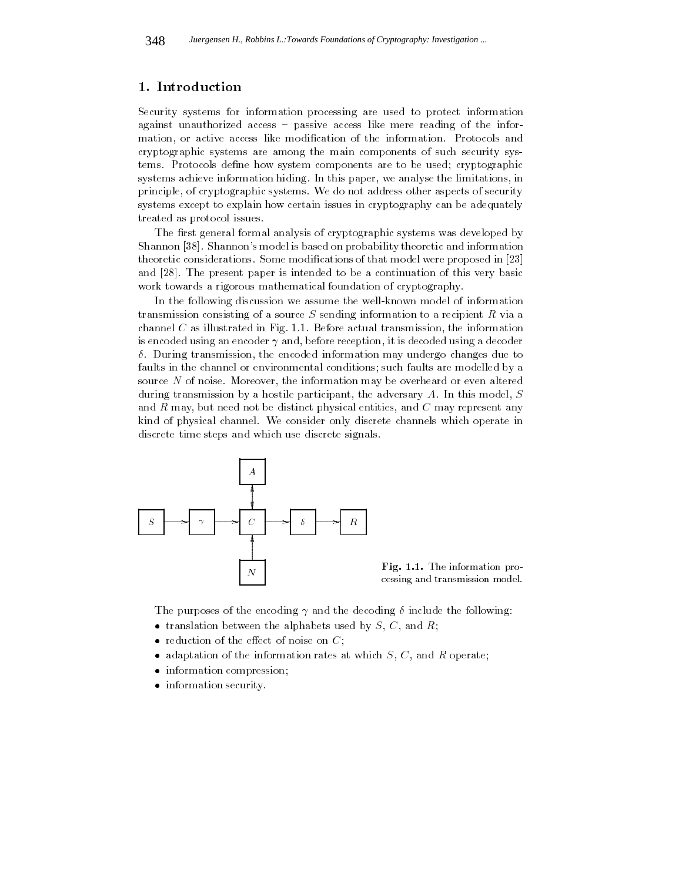#### 1. Introduction

Security systems for information processing are used to protect information against unauthorized access – passive access like mere reading of the information, or active access like modication of the information. Protocols and cryptographic systems are among the main components of such security systems. Protocols define how system components are to be used; cryptographic systems achieve information hiding. In this paper, we analyse the limitations, in principle, of cryptographic systems. We do not address other aspects of security systems except to explain how certain issues in cryptography can be adequately treated as protocol issues.

The first general formal analysis of cryptographic systems was developed by Shannon [38]. Shannon's model is based on probability theoretic and information theoretic considerations. Some modications of that model were proposed in [23] and [28]. The present paper is intended to be a continuation of this very basic work towards a rigorous mathematical foundation of cryptography.

In the following discussion we assume the well-known model of information transmission consisting of a source  $S$  sending information to a recipient  $R$  via a channel  $C$  as illustrated in Fig. 1.1. Before actual transmission, the information is encoded using an encoder  $\gamma$  and, before reception, it is decoded using a decoder  $\delta$ . During transmission, the encoded information may undergo changes due to faults in the channel or environmental conditions; such faults are modelled by a source N of noise. Moreover, the information may be overheard or even altered during transmission by a hostile participant, the adversary  $A$ . In this model,  $S$ and R may, but need not be distinct physical entities, and C may represent any kind of physical channel. We consider only discrete channels which operate in discrete time steps and which use discrete signals.



Fig. 1.1. The information processing and transmission model.

The purposes of the encoding  $\gamma$  and the decoding  $\delta$  include the following:

- translation between the alphabets used by  $S, C$ , and  $R$ ;
- reduction of the effect of noise on  $C$ ;
- adaptation of the information rates at which  $S, C$ , and  $R$  operate;
- information compression;
- information security.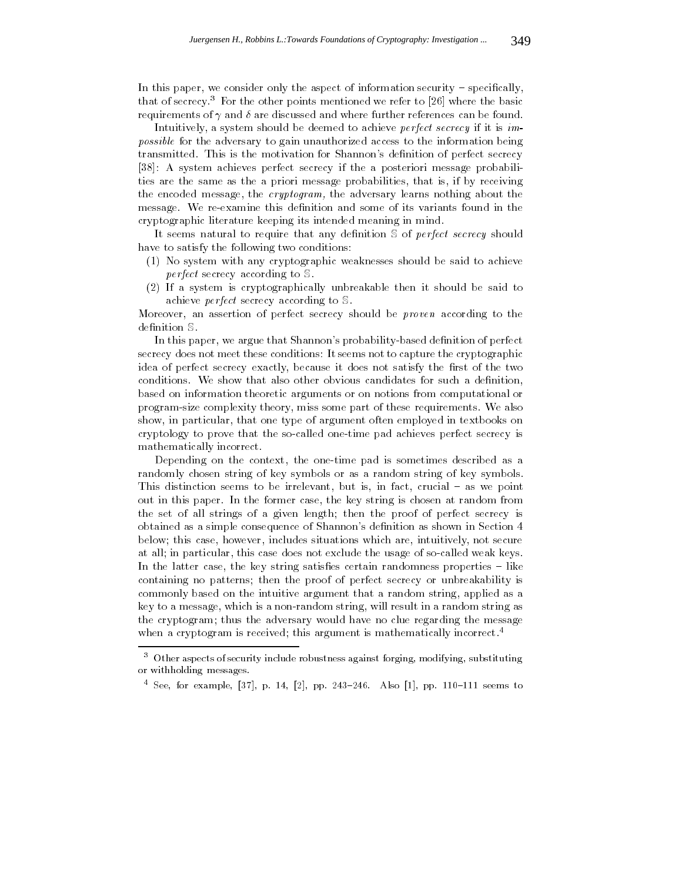In this paper, we consider only the aspect of information security  $-$  specifically, that of secrecy.<sup>3</sup> For the other points mentioned we refer to [26] where the basic requirements of  $\gamma$  and  $\delta$  are discussed and where further references can be found.

Intuitively, a system should be deemed to achieve perfect secrecy if it is impossible for the adversary to gain unauthorized access to the information being transmitted. This is the motivation for Shannon's definition of perfect secrecy [38]: A system achieves perfect secrecy if the a posteriori message probabilities are the same as the a priori message probabilities, that is, if by receiving the encoded message, the cryptogram, the adversary learns nothing about the message. We re-examine this definition and some of its variants found in the cryptographic literature keeping its intended meaning in mind.

It seems natural to require that any definition  $S$  of *perfect secrecy* should have to satisfy the following two conditions:

- (1) No system with any cryptographic weaknesses should be said to achieve perfect secrecy according to S.
- (2) If a system is cryptographically unbreakable then it should be said to achieve perfect secrecy according to S.

Moreover, an assertion of perfect secrecy should be *proven* according to the definition S.

In this paper, we argue that Shannon's probability-based definition of perfect secrecy does not meet these conditions: It seems not to capture the cryptographic idea of perfect secrecy exactly, because it does not satisfy the first of the two conditions. We show that also other obvious candidates for such a definition, based on information theoretic arguments or on notions from computational or program-size complexity theory, miss some part of these requirements. We also show, in particular, that one type of argument often employed in textbooks on cryptology to prove that the so-called one-time pad achieves perfect secrecy is mathematically incorrect.

Depending on the context, the one-time pad is sometimes described as a randomly chosen string of key symbols or as a random string of key symbols. This distinction seems to be irrelevant, but is, in fact, crucial  $-$  as we point out in this paper. In the former case, the key string is chosen at random from the set of all strings of a given length; then the proof of perfect secrecy is obtained as a simple consequence of Shannon's definition as shown in Section 4 below; this case, however, includes situations which are, intuitively, not secure at all; in particular, this case does not exclude the usage of so-called weak keys. In the latter case, the key string satisfies certain randomness properties  $-$  like containing no patterns; then the proof of perfect secrecy or unbreakability is commonly based on the intuitive argument that a random string, applied as a key to a message, which is a non-random string, will result in a random string as the cryptogram; thus the adversary would have no clue regarding the message when a cryptogram is received; this argument is mathematically incorrect.<sup>4</sup>

 $^\circ$  -Other aspects of security include robustness against forging, modifying, substituting or withholding messages.

 $\frac{1}{2}$  See, for example, [37], p. 14, [2], pp. 243-246. Also [1], pp. 110-111 seems to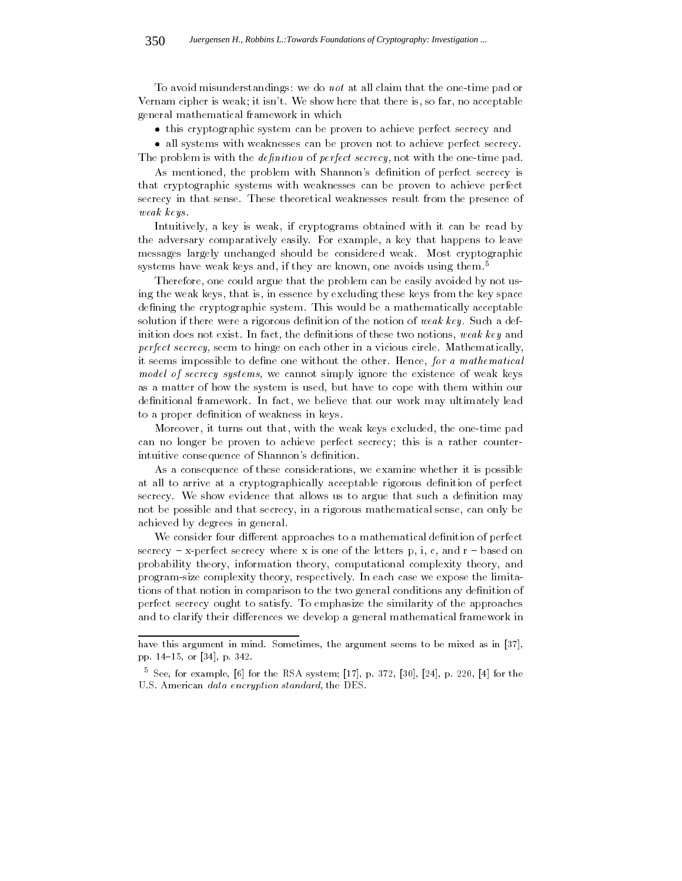To avoid misunderstandings: we do not at all claim that the one-time pad or Vernam cipher is weak; it isn't. We show here that there is, so far, no acceptable general mathematical framework in which

this cryptographic system can be proven to achieve perfect secrecy and

 all systems with weaknesses can be proven not to achieve perfect secrecy. The problem is with the *definition* of *perfect secrecy*, not with the one-time pad.

As mentioned, the problem with Shannon's definition of perfect secrecy is that cryptographic systems with weaknesses can be proven to achieve perfect secrecy in that sense. These theoretical weaknesses result from the presence of weak keys .

Intuitively, a key is weak, if cryptograms obtained with it can be read by the adversary comparatively easily. For example, a key that happens to leave messages largely unchanged should be considered weak. Most cryptographic systems have weak keys and, if they are known, one avoids using them.<sup>5</sup>

Therefore, one could argue that the problem can be easily avoided by not using the weak keys, that is, in essence by excluding these keys from the key space defining the cryptographic system. This would be a mathematically acceptable solution if there were a rigorous definition of the notion of weak key. Such a definition does not exist. In fact, the definitions of these two notions, weak key and perfect secrecy, seem to hinge on each other in a vicious circle. Mathematically, it seems impossible to define one without the other. Hence, for a mathematical model of secrecy systems, we cannot simply ignore the existence of weak keys as a matter of how the system is used, but have to cope with them within our definitional framework. In fact, we believe that our work may ultimately lead to a proper definition of weakness in keys.

Moreover, it turns out that, with the weak keys excluded, the one-time pad can no longer be proven to achieve perfect secrecy; this is a rather counterintuitive consequence of Shannon's definition.

As a consequence of these considerations, we examine whether it is possible at all to arrive at a cryptographically acceptable rigorous definition of perfect secrecy. We show evidence that allows us to argue that such a definition may not be possible and that secrecy, in a rigorous mathematical sense, can only be achieved by degrees in general.

We consider four different approaches to a mathematical definition of perfect secrecy  $-$  x-perfect secrecy where x is one of the letters p, i, c, and r  $-$  based on probability theory, information theory, computational complexity theory, and program-size complexity theory, respectively. In each case we expose the limitations of that notion in comparison to the two general conditions any definition of perfect secrecy ought to satisfy. To emphasize the similarity of the approaches and to clarify their differences we develop a general mathematical framework in

have this argument in mind. Sometimes, the argument seems to be mixed as in [37], pp. 14{15, or [34], p. 342.

<sup>5</sup> See, for example, [6] for the RSA system; [17], p. 372, [30], [24], p. 220, [4] for the U.S. American data encryption standard, the DES.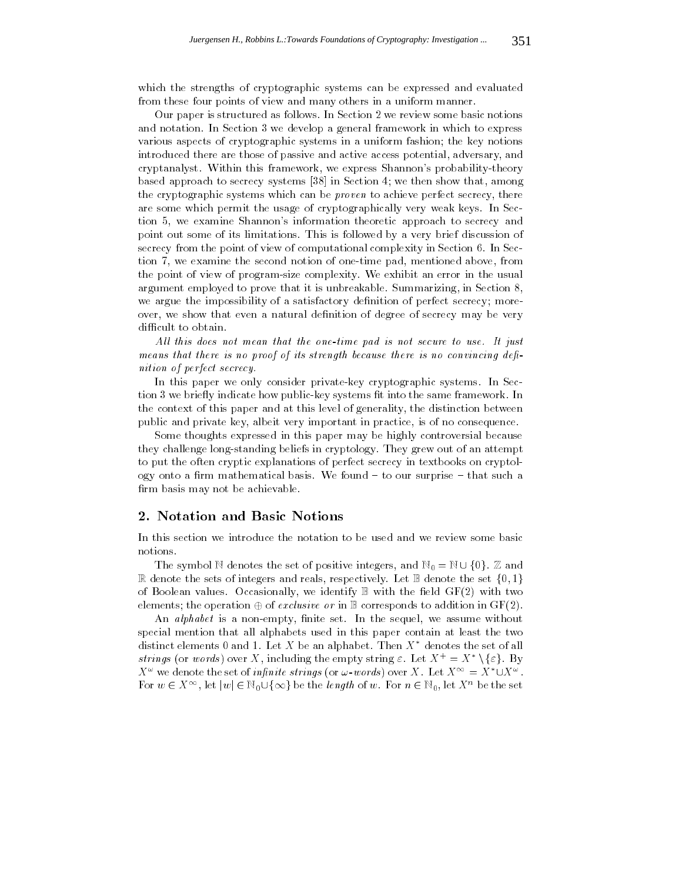which the strengths of cryptographic systems can be expressed and evaluated from these four points of view and many others in a uniform manner.

Our paper is structured as follows. In Section 2 we review some basic notions and notation. In Section 3 we develop a general framework in which to express various aspects of cryptographic systems in a uniform fashion; the key notions introduced there are those of passive and active access potential, adversary, and cryptanalyst. Within this framework, we express Shannon's probability-theory based approach to secrecy systems [38] in Section 4; we then show that, among the cryptographic systems which can be *proven* to achieve perfect secrecy, there are some which permit the usage of cryptographically very weak keys. In Section 5, we examine Shannon's information theoretic approach to secrecy and point out some of its limitations. This is followed byavery brief discussion of secrecy from the point of view of computational complexity in Section 6. In Section 7, we examine the second notion of one-time pad, mentioned above, from the point of view of program-size complexity. We exhibit an error in the usual argument employed to prove that it is unbreakable. Summarizing, in Section 8, we argue the impossibility of a satisfactory definition of perfect secrecy; moreover, we show that even a natural definition of degree of secrecy may be very difficult to obtain.

All this does not mean that the one-time pad is not secure to use. It just means that there is no proof of its strength because there is no convincing definition of perfect secrecy.

In this paper we only consider private-key cryptographic systems. In Section 3 we briefly indicate how public-key systems fit into the same framework. In the context of this paper and at this level of generality, the distinction between public and private key, albeit very important in practice, is of no consequence.

Some thoughts expressed in this paper may be highly controversial because they challenge long-standing beliefs in cryptology. They grew out of an attempt to put the often cryptic explanations of perfect secrecy in textbooks on cryptology onto a firm mathematical basis. We found  $-$  to our surprise  $-$  that such a firm basis may not be achievable.

### 2. Notation and Basic Notions

In this section we introduce the notation to be used and we review some basic notions.

R denote the sets of integers and reals, respectively. Let  $\mathbb B$  denote the set  $\{0, 1\}$ of Boolean values. Occasionally, we identify  $\mathbb B$  with the field  $GF(2)$  with two elements; the operation of exclusive or in <sup>B</sup> corresponds to addition in GF(2).

An *alphabet* is a non-empty, finite set. In the sequel, we assume without special mention that all alphabets used in this paper contain at least the two distinct elements 0 and 1. Let  $X$  be an alphabet. Then  $X^*$  denotes the set of all strings (or words) over  $X$ , including the empty string  $\varepsilon$ . Let  $X^+ = X \setminus \{\varepsilon\}$ . By  $X^{\omega}$  we denote the set of *infinite strings* (or  $\omega$ -words) over X. Let  $X^{\infty} = X^* \cup X^{\omega}$ . For  $w \in X^{1}$ , let  $|w| \in \mathbb{N}_0 \cup \{ \infty \}$  be the *tength* of w. For  $n \in \mathbb{N}_0$ , let  $X^{1}$  be the set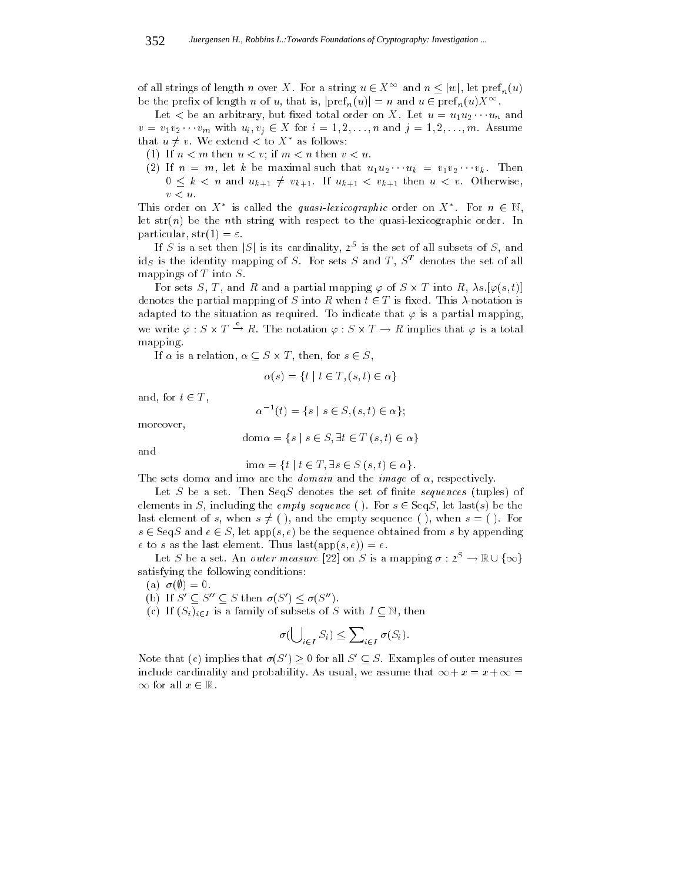of all strings of length n over X. For a string  $u \in X^{\infty}$  and  $n \leq |w|$ , let  $\text{pref}_n(u)$ be the prefix of length n over  $\Lambda$ . For a string  $u \in \Lambda$  and  $n \leq |w|$ , let pref<sub>n</sub>(u)<br>be the prefix of length n of u, that is,  $|\text{pref}_n(u)| = n$  and  $u \in \text{pref}_n(u)X^{\infty}$ .

 $\mathbf{L}$  and arbitrary, but the arbitrary, but the unit of under one under one under one under one under one under one under  $\mathbf{L}$ <sup>v</sup> <sup>=</sup> v1v2 vm with ui; vj 2 <sup>X</sup> for <sup>i</sup> = 1; 2; : : :;n and <sup>j</sup> = 1; 2; : : :;m. Assume that  $u \neq v$ . We extend  $\lt$  to  $X^*$  as follows:

(1) If  $n < m$  then  $u < v$ ; if  $m < n$  then  $v < u$ .

(2) If  $n = 1$  if n  $n = 1$  if  $n = 1$  if  $n = 1$  if  $n = 1$  if  $n = 1$  if  $n = 1$  if  $n = 1$  if  $n = 1$  if  $n = 1$  if  $n = 1$  if  $n = 1$  if  $n = 1$  if  $n = 1$  if  $n = 1$  if  $n = 1$  if  $n = 1$  if  $n = 1$  if  $n = 1$  if  $n = 1$  if  $n = 1$  if  $n$  $\overline{a}$  is an and uk then  $w+1$  for  $w+1$  then  $w+1$  then  $w+1$  $v < u$ .

This order on  $\Lambda$  is called the quasi-lexicographic order on  $\Lambda$ . For  $n \in \mathbb{N}$ , let  $str(n)$  be the nth string with respect to the quasi-lexicographic order. In particular,  $str(1) = \varepsilon$ .

If S is a set then  $|S|$  is its cardinality, 2. Is the set of all subsets of S, and ids is the identity mapping of S. For sets S and T,  $S<sup>T</sup>$  denotes the set of all mappings of  $T$  into  $S$ .

For sets  $S, I$ , and R and a partial mapping  $\varphi$  of  $S \times I$  into R,  $\lambda s.[\varphi(s,t)]$  $\frac{1}{1}$  is  $\frac{1}{1}$  is  $\frac{1}{2}$  into  $\frac{1}{2}$  into R when t  $\frac{1}{2}$ adapted to the situation as required. To indicate that  $\varphi$  is a partial mapping, we write  $\varphi : S \times I \to R$ . The notation  $\varphi : S \times I \to R$  implies that  $\varphi$  is a total mapping.

If  $\alpha$  is a relation,  $\alpha \geq \beta$  , then, for set  $\beta$   $\infty$  ,

$$
\alpha(s) = \{ t \mid t \in T, (s, t) \in \alpha \}
$$

and, for t 2 T , 2 T

$$
\alpha^{-1}(t) = \{ s \mid s \in S, (s, t) \in \alpha \};
$$

moreover,

$$
dom \alpha = \{ s \mid s \in S, \exists t \in T (s, t) \in \alpha \}
$$

and

$$
\text{im}\alpha = \{t \mid t \in T, \exists s \in S \ (s, t) \in \alpha\}.
$$

The sets domination and image of , respectively. The image of , respectively. The image of , respectively. The image of  $\mathcal{R}$ 

Let  $S$  be a set. Then Seq $S$  denotes the set of finite sequences (tuples) of elements in S, including the empty sequence ( ). For sequence  $\mathbf{r}$  is  $\mathbf{r}$  be the theory of  $\mathbf{r}$ last element of s, when  $s \neq ($ ), and the empty sequence ( ), when  $s = ($  ). For s 2 Sequence obtained from sequence obtained from sequence obtained from sequence obtained from sequence obtained from sequence obtained from sequence obtained from sequence obtained from sequence obtained from sequence o e to s as the last element. Thus  $\text{last}(\text{app}(s, e)) = e$ .

Let S be a set. An *outer measure* [22] on S is a mapping  $\sigma : 2^S \to \mathbb{R} \cup {\infty}$  }  $\cdots$   $\cdots$   $\cdots$   $\cdots$ satisfying the following conditions:

(a)  $\sigma(\emptyset) = 0$ .

(b) If  $S \subseteq S \subseteq S$  then  $\sigma(S) \leq \sigma(S)$ .

(c) If  $(S_i)_{i\in I}$  is a family of subsets of S with  $I \subseteq \mathbb{N}$ , then

$$
\sigma(\bigcup_{i \in I} S_i) \le \sum_{i \in I} \sigma(S_i).
$$

Note that (c) implies that  $\sigma(S) \geq 0$  for all  $S \subseteq S$ . Examples of outer measures include cardinality and probability. As usual, we assume that  $\mathcal{N} = \mathcal{N} + 1 + 1 + \mathcal{N} + 1 + 1 + \mathcal{N} + 1 + 1 + \mathcal{N} + 1 + 1 + \mathcal{N} + 1 + 1 + \mathcal{N} + 1 + 1 + \mathcal{N} + 1 + 1 + \mathcal{N} + 1 + 1 + \mathcal{N} + 1 + 1 + \mathcal{N} + 1 + 1 + \mathcal{N} + 1 + 1 + \mathcal{N} +$  $\infty$  for all  $x \in \mathbb{R}$ .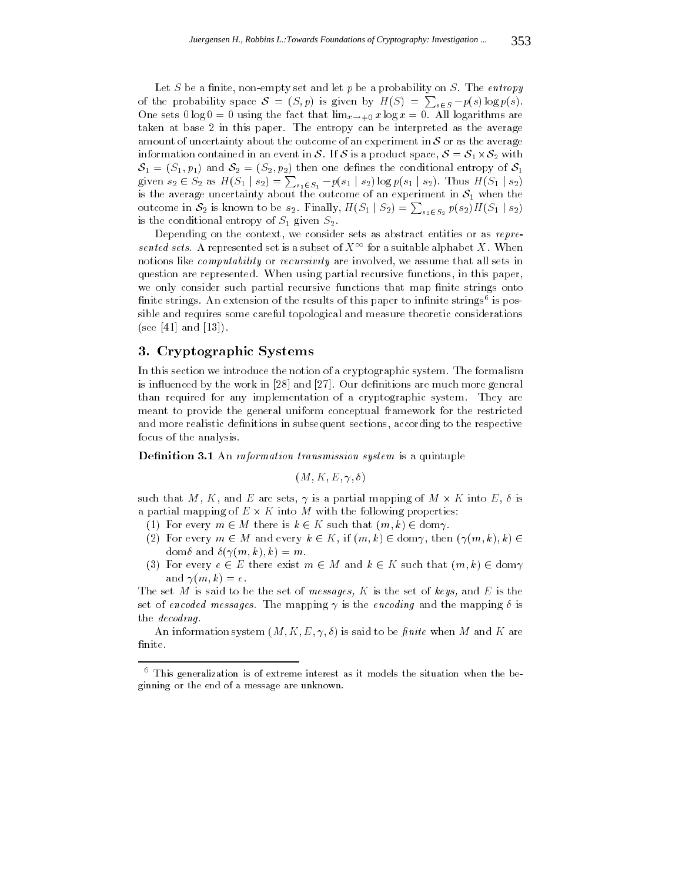Let S be a finite, non-empty set and let  $p$  be a probability on S. The entropy of the probability space  $S = (S, p)$  is given by  $H(S) = \sum_{s \in S} -p(s) \log p(s)$ . One sets  $0 \log 0 = 0$  using the fact that  $\lim_{x \to +0} x \log x = 0$ . All logarithms are taken at base 2 in this paper. The entropy can be interpreted as the average  $\mathbf{v}$  and about the outcome of an experiment in S or as the average of an experiment in S or as the average of average of an experiment in S or as the average of an experiment in S or as the average of average of avera information contained in S. If  $\alpha$  is a product space, S. If  $\alpha$  is a product space, S. If  $\alpha$  $S_1 = (S_1, p_1)$  and  $S_2 = (S_2, p_2)$  then one defines the conditional entropy of  $S_1$ given  $s_2 \in S_2$  as  $H(S_1 \mid s_2) = \sum_{s_1 \in S_1} -p(s_1 \mid s_2) \log p(s_1 \mid s_2)$ . Thus  $H(S_1 \mid s_2)$  is the average uncertainty about the outcome of an experiment in  $S_1$  when the outcome in  $S_2$  is known to be  $s_2$ . Finally,  $H(S_1 | S_2) = \sum_{s_2 \in S_2} p(s_2) H(S_1 | s_2)$ is the conditional entropy of  $S_1$  given  $S_2$ .

Depending on the context, we consider sets as abstract entities or as represented sets. A represented set is a subset of  $X^{\infty}$  for a suitable alphabet X. When notions like *computability* or *recursivity* are involved, we assume that all sets in question are represented. When using partial recursive functions, in this paper, we only consider such partial recursive functions that map finite strings onto nite strings. An extension of the results of this paper to innite strings<sup>6</sup> is possible and requires some careful topological and measure theoretic considerations (see [41] and  $[13]$ ).

#### 3. Cryptographic Systems

In this section we introduce the notion of a cryptographic system. The formalism is influenced by the work in [28] and [27]. Our definitions are much more general than required for any implementation of a cryptographic system. They are meant to provide the general uniform conceptual framework for the restricted and more realistic definitions in subsequent sections, according to the respective focus of the analysis.

Definition 3.1 An information transmission system is a quintuple

 $(M, K, E, \gamma, \delta)$ 

such that M, K, and E are sets, I want there is a partial mapping of  $\mathbb{R}^n$ a particle mapping of E  $\alpha$  into M with the following properties:

- (1) For every m 2 M there is k 2 K such that (m) w/ 2 domain (
- (2) For every m 2 M and every k 2 K, if  $\chi$  if  $\chi$  if  $\chi$  if  $\chi$  if  $\chi$  if  $\chi$  if  $\chi$  if  $\chi$ dom $\delta$  and  $\delta(\gamma(m,k), k) = m$ .
- (3) For every exist m 2  $\sim$  2  $\sim$  1 M and k 2 K such that (m; k) 2  $\sim$  1 dom and  $\gamma(m, k) = e$ .

The set M is said to be the set of messages, K is the set of keys, and E is the set of encoded messages. The mapping  $\gamma$  is the encoding and the mapping  $\delta$  is the decoding.

An information system  $(M, K, E, \gamma, \delta)$  is said to be *finite* when M and K are finite.

 $^{\circ}$  This generalization is of extreme interest as it models the situation when the beginning or the end of a message are unknown.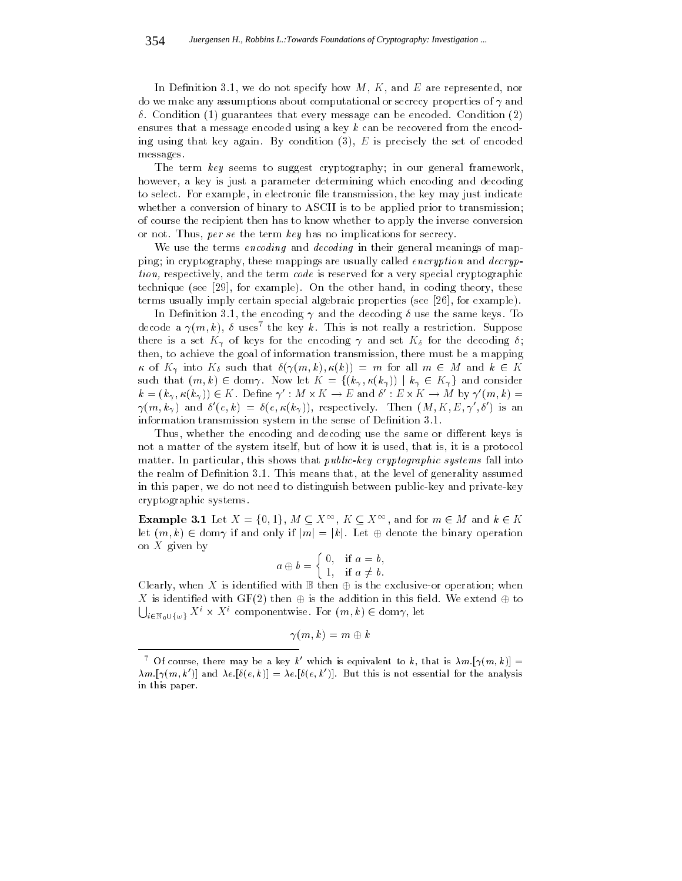In Definition 3.1, we do not specify how  $M, K$ , and  $E$  are represented, nor do we make any assumptions about computational or secrecy properties of  $\gamma$  and  $\delta$ . Condition (1) guarantees that every message can be encoded. Condition (2) ensures that a message encoded using a key  $k$  can be recovered from the encoding using that key again. By condition  $(3)$ ,  $E$  is precisely the set of encoded messages.

The term key seems to suggest cryptography; in our general framework, however, a key is just a parameter determining which encoding and decoding to select. For example, in electronic file transmission, the key may just indicate whether a conversion of binary to ASCII is to be applied prior to transmission; of course the recipient then has to know whether to apply the inverse conversion or not. Thus, per se the term key has no implications for secrecy.

We use the terms encoding and decoding in their general meanings of mapping; in cryptography, these mappings are usually called encryption and decryption, respectively, and the term code is reserved for a very special cryptographic technique (see [29], for example). On the other hand, in coding theory, these terms usually imply certain special algebraic properties (see [26], for example).

In Definition 3.1, the encoding  $\gamma$  and the decoding  $\delta$  use the same keys. To decode a  $\gamma(m,\kappa),\;v$  uses the key  $\kappa.$  This is not really a restriction. Suppose there is a set  $K_{\gamma}$  of keys for the encoding  $\gamma$  and set  $K_{\delta}$  for the decoding  $\delta$ ; then, to achieve the goal of information transmission, there must be a mapping of  $\mathcal{N}$  into  $\mathcal{N}$  into  $\mathcal{N}$  and  $\mathcal{N}$  and  $\mathcal{N}$  and  $\mathcal{N}$  and  $\mathcal{N}$  and  $\mathcal{N}$  and  $\mathcal{N}$  and  $\mathcal{N}$  and  $\mathcal{N}$  and  $\mathcal{N}$  and  $\mathcal{N}$  and  $\mathcal{N}$  and  $\mathcal{N}$  and  $\mathcal{N}$  and  $\mathcal{N}$ such that (m; k)  $\mathcal{N}$  and  $\mathcal{N}$  f(k)  $\mathcal{N}$  f(k) iii)  $\mathcal{N}$  and consider the consider to  $\mathcal{N}$  $\kappa = (\kappa_{\gamma}, \kappa(\kappa_{\gamma})) \in \Lambda$ . Denne  $\gamma$ :  $M \times \Lambda \to E$  and  $\sigma : E \times \Lambda \to M$  by  $\gamma$   $(m, \kappa) =$  $\lim_{\alpha \to \infty} \frac{1}{\alpha}$  and  $\alpha$  (equallely equality to the correctively. Then  $\lim_{\alpha \to \infty} \frac{1}{\alpha}$  is  $\frac{1}{\alpha}$  is an information transmission system in the sense of Definition 3.1.

Thus, whether the encoding and decoding use the same or different keys is not a matter of the system itself, but of how it is used, that is, it is a protocol matter. In particular, this shows that *public-key cryptographic systems* fall into the realm of Definition 3.1. This means that, at the level of generality assumed in this paper, we do not need to distinguish between public-key and private-key cryptographic systems.

**Example 3.1** Let  $X = \{0, 1\}, M \subseteq X^{\infty}, K \subseteq X^{\infty}$ , and for  $m \in M$  and  $k \in K$ let  $(i,j)$  2 domain if and only if  $[i,j]$  . Let  $j$  and binary operation the binary operation on  $X$  given by

$$
a \oplus b = \begin{cases} 0, & \text{if } a = b, \\ 1, & \text{if } a \neq b. \end{cases}
$$

 $\sim$  is in the clearly with B theorem is the exclusive-order  $\sim$  or operation; which is the exclusive-order  $\sim$ X is identied with GF(2) then is the addition in this eld. We extend to  $\bigcup_{i\in\mathbb{N}}\mathbb{U}\{\omega\}$   $X^i\times X^i$  componentwise. For  $(m,k)\in\text{dom}\gamma,$  let

$$
\gamma(m,k)=m\oplus k
$$

Of course, there may be a key  $\kappa$  which is equivalent to  $\kappa$ , that is  $\lambda m$   $|\gamma(m, \kappa)| =$  $\lambda m.[\gamma(m, k')]$  and  $\lambda e.[\delta(e, k)] = \lambda e.[\delta(e, k')]$ . But this is not essential for the analysis in this paper.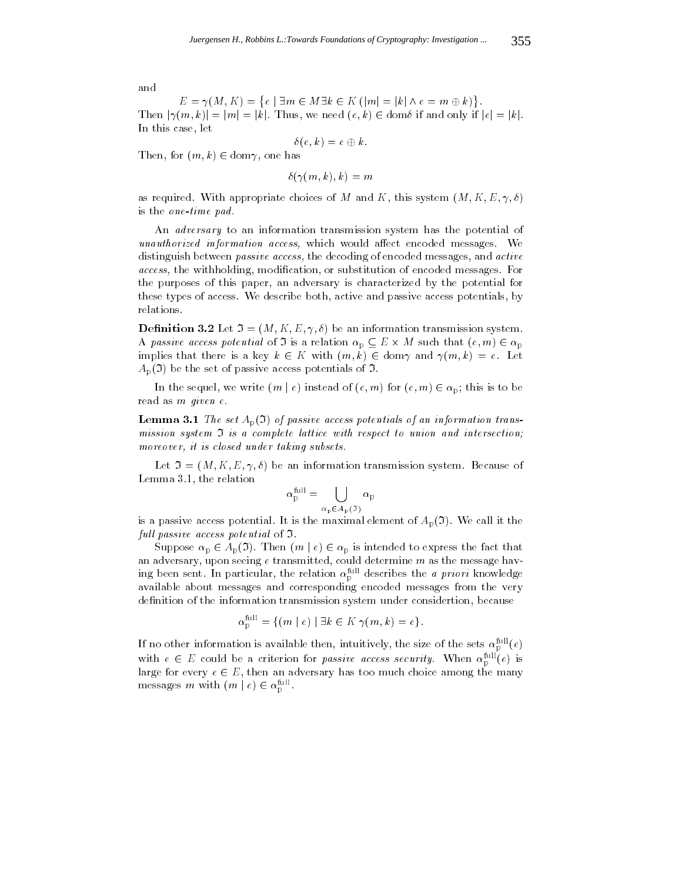$E = \gamma(M,K) = \{e \mid \exists m \in M \exists k \in K \ (|m| = |k| \land e = m \oplus k)\}.$  $E = \gamma(M, K) = \{e \mid \exists m \in M \exists k \in K \ (|m| = |k| \land e = m \oplus k)\}.$ <br>Then  $|\gamma(m, k)| = |m| = |k|$ . Thus, we need  $(e, k) \in \text{dom}\delta$  if and only if  $|e| = |k|$ . In this case, let

$$
\delta(e,k)=e\oplus k.
$$

 $T_{\text{max}}$ , for (m),  $T_{\text{max}}$  2 dominates, then, then, then

 $\delta(\gamma(m, k), k) = m$ 

as required. With appropriate choices of M and K, this system  $(M, K, E, \gamma, \delta)$ is the one-time pad.

An adversary to an information transmission system has the potential of unauthorized information access, which would affect encoded messages. We distinguish between *passive access*, the decoding of encoded messages, and *active* access, the withholding, modication, or substitution of encoded messages. For the purposes of this paper, an adversary is characterized by the potential for these types of access. We describe both, active and passive access potentials, by relations.

**Definition 3.2** Let  $\mathfrak{I} = (M, K, E, \gamma, \delta)$  be an information transmission system. A passive access potential of  $\mathbf{F}$  is a relation p  $\mathbf{F} = \mathbf{F}$  , where a relation  $\mathbf{F}$  is a p implies that there is a key known  $\mathcal{N}$  and  $\mathcal{N}$  and  $\mathcal{N}$  and  $\mathcal{N}$  and  $\mathcal{N}$  and  $\mathcal{N}$  are  $\mathcal{N}$  $A_{p}(\mathfrak{I})$  be the set of passive access potentials of  $\mathfrak{I}.$ 

In the sequence of (e) instead of (e) instead of (e) instead of (e) instead of (e)  $\lambda$  p; this is to be because of (e) is to be a proper control of (e) is to be a proper control of (e) is to be a proper control of (e) is read as m given e.

**Lemma 3.1** The set  $A_p(\mathfrak{I})$  of passive access potentials of an information transmission system <sup>I</sup> is a complete lattice with respect to union and intersection; moreover, it is closed under taking subsets.

Let  $\mathfrak{I} = (M, K, E, \gamma, \delta)$  be an information transmission system. Because of Lemma 3.1, the relation

$$
\alpha_{\rm p}^{\rm full} = \bigcup_{\alpha_{\rm p} \in A_{\rm p}(\mathfrak{I})} \alpha_{\rm p}
$$

is a passive access potential. It is the maximal element of  $A_p(\mathfrak{I})$ . We call it the full passive access potential of  $\mathfrak I$ .

 $S$  approximately 2  $\sim$   $\sim$   $p$  ( $\sim$  ). Then  $I$  (m j  $\sim$  )  $\sim$   $\sim$   $p$  is interested to express that that that that an adversary, upon seeing e transmitted, could determine  $m$  as the message having been sent. In particular, the relation  $\alpha_{\text{p}}^{\text{max}}$  describes the *a priori* knowledge available about messages and corresponding encoded messages from the very definition of the information transmission system under considertion, because

$$
\alpha_{\rm p}^{\rm full} = \{ (m \mid e) \mid \exists k \in K \; \gamma(m,k) = e \}.
$$

If no other information is available then, intuitively, the size of the sets  $\alpha_{\rm p}^{\rm full}(e)$ with  $e \in E$  could be a criterion for *passive access security*. When  $\alpha_p^{\text{max}}(e)$  is large for every e 2 E, then an adversary has too much choice among the many messages *m* with  $(m \mid e) \in \alpha_p$ .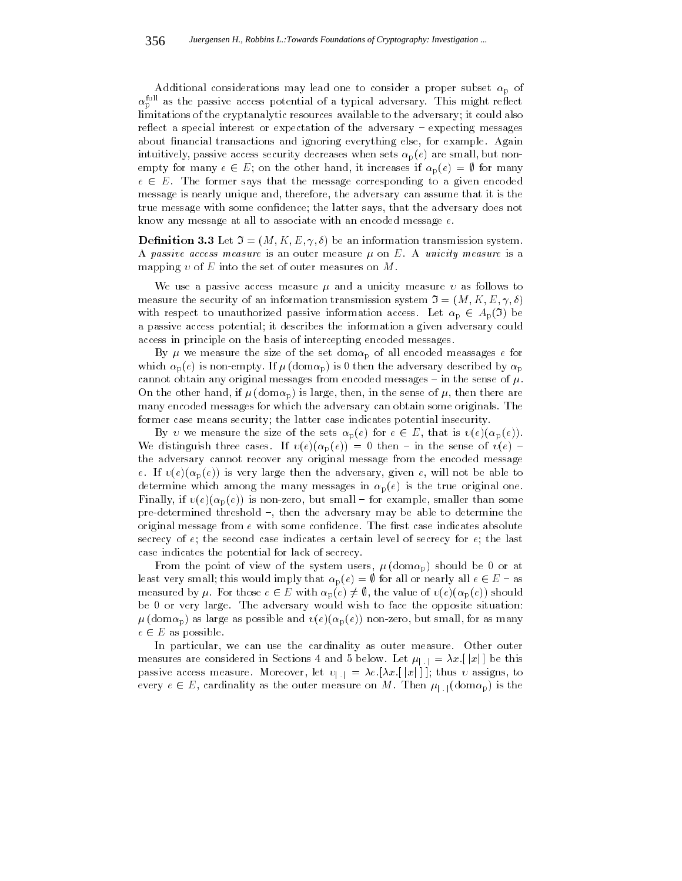Additional considerations may lead one to consider a proper subset  $\alpha_p$  of  $\alpha_{\rm p}$  as the passive access potential of a typical adversary. This might reflect limitations of the cryptanalytic resources available to the adversary; it could also reflect a special interest or expectation of the adversary - expecting messages about financial transactions and ignoring everything else, for example. Again intuitively, passive access security decreases when sets  $\alpha_p(e)$  are small, but nonempty for many examples if increases if  $\mathbb{P}(\mathcal{F})$  is increases if  $\mathcal{F}(\mathcal{F})$  is increases if  $\mathcal{F}(\mathcal{F})$ e 2  $\sqrt{2}$  and  $\sqrt{2}$  by the message corresponding to a given encoded to a given encoded to a given encoded message is nearly unique and, therefore, the adversary can assume that it is the true message with some condence; the latter says, that the adversary does not know any message at all to associate with an encoded message e.

**Definition 3.3** Let  $\mathfrak{I} = (M, K, E, \gamma, \delta)$  be an information transmission system. A passive access measure is an outer measure  $\mu$  on E. A unicity measure is a mapping v of E into the set of outer measures on M.

We use a passive access measure  $\mu$  and a unicity measure  $\nu$  as follows to measure the security of an information transmission system  $\mathfrak{I} = (M, K, E, \gamma, \delta)$ with respect to unauthorized passive information access. Let  $\alpha p \in \mathcal{A}_p(\mathbf{v})$  be a passive access potential; it describes the information a given adversary could access in principle on the basis of intercepting encoded messages.

By  $\mu$  we measure the size of the set dom $\alpha_{\rm p}$  of all encoded meassages  $e$  for which  $\alpha_{p}(e)$  is non-empty. If  $\mu$  (dom $\alpha_{p}$ ) is 0 then the adversary described by  $\alpha_{p}$ cannot obtain any original messages from encoded messages - in the sense of  $\mu$ . On the other hand, if  $\mu$  (dom $\alpha_{\rm p}$ ) is large, then, in the sense of  $\mu$ , then there are many encoded messages for which the adversary can obtain some originals. The former case means security; the latter case indicates potential insecurity.

 $B$  , we measure the size of the sets p(e) for e 2 E, that is (e)(p)(p(e)). We distinguish three cases. If  $v(e)(\alpha_p (e)) = 0$  then - in the sense of  $v(e)$  the adversary cannot recover any original message from the encoded message e. If  $v(e)(\alpha_{p}(e))$  is very large then the adversary, given e, will not be able to determine which among the many messages in  $\alpha_p(e)$  is the true original one. Finally, if  $v(e)(\alpha_{p}(e))$  is non-zero, but small – for example, smaller than some pre-determined threshold  $-$ , then the adversary may be able to determine the original message from  $e$  with some confidence. The first case indicates absolute secrecy of  $e$ ; the second case indicates a certain level of secrecy for  $e$ ; the last case indicates the potential for lack of secrecy.

From the point of view of the system users,  $\mu$  (dom $\alpha_{\rm p}$ ) should be 0 or at least very small; this would imply that p(e)  $\frac{1}{2}$  is all or nearly all expected in all each  $\frac{1}{2}$  expected in a  $\frac{1}{2}$  expected in a  $\frac{1}{2}$  expected in a  $\frac{1}{2}$  expected in a  $\frac{1}{2}$  expected in a  $\frac{$ measured by . For those e 2 <sup>E</sup> with p(e) 6= ;, the value of (e)(p (e)) should be 0 or very large. The adversary would wish to face the opposite situation:  $\mu$ (dom $\alpha_{\rm p}$ ) as large as possible and  $v(e)(\alpha_{\rm p}(e))$  non-zero, but small, for as many e 2 E as possible. The contract of the contract of the contract of the contract of the contract of the contract of the contract of the contract of the contract of the contract of the contract of the contract of the contrac

In particular, we can use the cardinality as outer measure. Other outer measures are considered in Sections 4 and 5 below. Let  $\mu_{\|\cdot\|} = \lambda x. [\|x\|]$  be this passive access measure. Moreover, let  $v_{\vert \cdot \vert} = \lambda e$ . [ $\lambda x$ . [|x|]]; thus v assigns, to every extending as the outer measure on M. Then just as the outer measure on M. Then just as the outer measure on  $M$  is the outer measure on  $M$  is the outer measure on  $M$  is the outer measure on  $M$  is the outer measur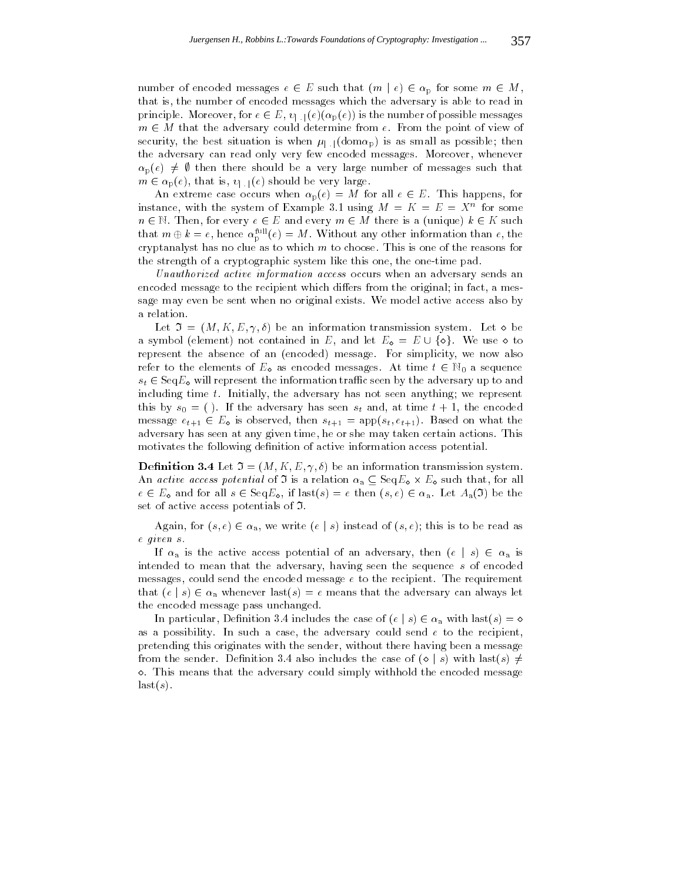number of encoded messages e  $2$  and  $2$  p for some messages e  $2$  p for some mass  $2$ that is, the number of encoded messages which the adversary is able to read in principle. Moreover, for each interval is the number of possible messages in the number of possible messages in  $\frac{1}{\sqrt{2}}$  M that the adversary could determine from the point of view of view of view of view of view of view of view of view of view of view of view of view of view of view of view of view of view of view of view of v security, the best situation is when  $\mu_{\text{L},\text{l}}(\text{dom}\alpha_{\text{p}})$  is as small as possible; then the adversary can read only very few encoded messages. Moreover, whenever  $\alpha_p(e) \neq \emptyset$  then there should be a very large number of messages such that  $\mathcal{L} = \mathcal{L} \left( \mathcal{L} \right)$  is, it is, it is, it is, it is, it is, it is, it is, it is, it is, it is, it is, it is, it is, it is, it is, it is, it is, it is, it is, it is, it is, it is, it is, it is, it is, it is, it is,

 $\mathbb{P}(\sqrt{N})$  and  $\mathbb{P}(\sqrt{N})$  and  $\mathbb{P}(\sqrt{N})$  and  $\mathbb{P}(\sqrt{N})$  and for all extreme  $\mathbb{P}(\sqrt{N})$ instance, with the system of Example 3.1 using  $M = K = E = X$  for some  $n \in \mathbb{N}$ . Then, for every  $e \in E$  and every  $m \in M$  there is a (unique)  $k \in K$  such 2 N. Then, for every e 2 E and every m 2 M there is a (unique) k 2 K such and that  $m \oplus \kappa = e$ , hence  $\alpha_{\rm p}^{\rm cm}(e) = m$ . Without any other information than e, the cryptanalyst has no clue as to which  $m$  to choose. This is one of the reasons for the strength of a cryptographic system like this one, the one-time pad.

Unauthorized active information access occurs when an adversary sends an encoded message to the recipient which differs from the original; in fact, a message may even be sent when no original exists. We model active access also by a relation.

 $\mathcal{L} = \{L_{\mathcal{L}} \mid \mathcal{L}_{\mathcal{L}} \}$  , and the anti-dimensional transmission system. Let  $\mathcal{L} = \{L_{\mathcal{L}} \mid \mathcal{L}_{\mathcal{L}} \}$ represent the absence of an (encoded) message. For simplicity, we now also refer to the elements of  $E_{\mathbf{Q}}$  as encoded messages. At time  $t \in \mathbb{N}_0$  a sequence st 2 September 1 September 1 September 1 September 1 September 1 September 1 September 1 September 1 September 1 September 1 September 1 September 1 September 1 September 1 September 1 September 1 September 1 September 1 including time t. Initially, the adversary has not seen anything; we represent this by  $s_0 = ($ ). If the adversary has seen  $s_t$  and, at time  $t + 1$ , the encoded message et  $1 \leq R$  is observed, then st $\mathfrak{t}+1$  and  $\mathfrak{t}+1$  and  $\mathfrak{t}+1$ ). Based on what the v adversary has seen at any given time, he or she may taken certain actions. This motivates the following definition of active information access potential.

**Definition 3.4** Let  $\mathfrak{I} = (M, K, E, \gamma, \delta)$  be an information transmission system.  $A_n$  active access potential of  $\mathcal{L}$  is a relation a<sub>d</sub>  $\mathcal{L}$  such that, for all  $e \in E$  and for all  $e \in E$  square, if last(s) = e then  $(s, s) \in \mathbb{Z}$  a. Let  $H_a(\mathbf{v})$  be the set of active access potentials of I.

Again, for (s; e)  $\alpha$  a, we write (s; e); this indicate  $\alpha$ ; (s); (); this is to be read as e given s.

If any  $\alpha$  is the active access potential of an adversary, then  $($  i  $)$   $\in$  and  $\alpha$ intended to mean that the adversary, having seen the sequence s of encoded messages, could send the encoded message e to the recipient. The requirement that (e j s)  $\lambda$  whenever last (s) and the adversary can always let  $\lambda$  and always let  $\lambda$ the encoded message pass unchanged.

In particular, Denition 3.4 includes the case of  $\chi$  includes the case of  $\chi$ as a possibility. In such a case, the adversary could send  $e$  to the recipient, pretending this originates with the sender, without there having been a message  $\diamond$ . This means that the adversary could simply withhold the encoded message  $last(s)$ .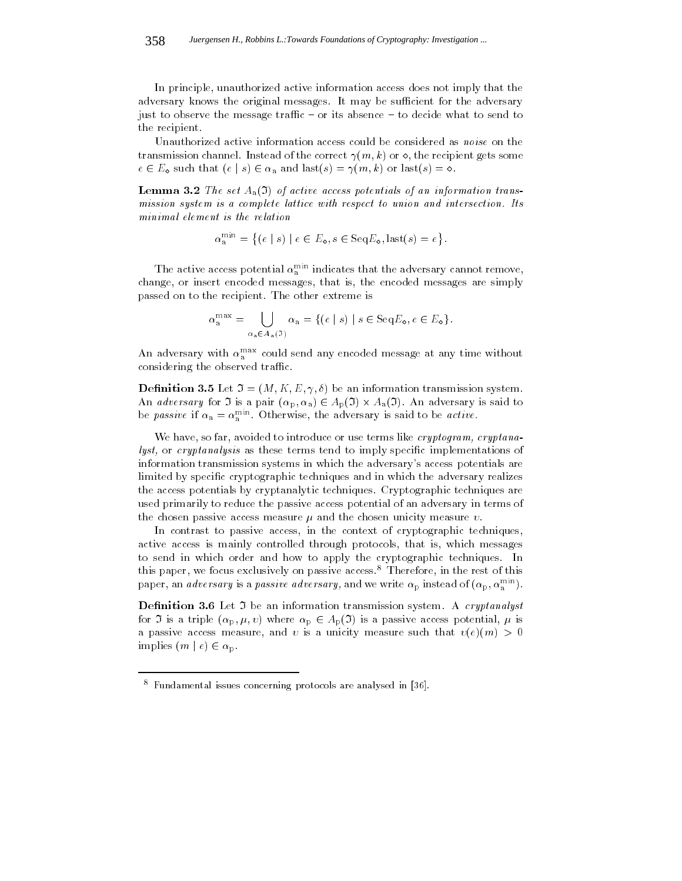In principle, unauthorized active information access does not imply that the adversary knows the original messages. It may be sufficient for the adversary just to observe the message traffic  $-$  or its absence  $-$  to decide what to send to the recipient.

Unauthorized active information access could be considered as noise on the transmission channel. Instead of the correct  $\gamma(m, k)$  or  $\diamond$ , the recipient gets some e 2 E such that (e j s) 2 <sup>a</sup> and last(s) = (m; k) or last(s) = .

**Lemma 3.2** The set  $A_a(3)$  of active access potentials of an information transmission system is a complete lattice with respect to union and intersection. Its minimal element is the relation

$$
\alpha_{\mathbf{a}}^{\min} = \{ (e \mid s) \mid e \in E_{\mathbf{a}}, s \in \text{Seq}E_{\mathbf{a}}, \text{last}(s) = e \}.
$$

The active access potential  $\alpha_{\overline{a}}^{rms}$  indicates that the adversary cannot remove, change, or insert encoded messages, that is, the encoded messages are simply passed on to the recipient. The other extreme is

$$
\alpha_{\mathbf{a}}^{\max} = \bigcup_{\alpha_{\mathbf{a}} \in A_{\mathbf{a}}(\mathfrak{I})} \alpha_{\mathbf{a}} = \{ (e \mid s) \mid s \in \text{Seq}E_{\mathbf{a}}, e \in E_{\mathbf{a}} \}.
$$

An adversary with  $\alpha_{\rm a}^{\rm max}$  could send any encoded message at any time without considering the observed traffic.

**Definition 3.5** Let  $\mathfrak{I} = (M, K, E, \gamma, \delta)$  be an information transmission system. An adversary for  $\mathbf{r}$  is a part (p) and  $\mathbf{r}$  is said to adversary is said to adversary in the same  $\mathbf{r}$ be *passive* if  $\alpha_a = \alpha_a^{n \dots}$ . Otherwise, the adversary is said to be *active*.

We have, so far, avoided to introduce or use terms like  $c$ ryptogram,  $c$ ryptanalyst, or cryptanalysis as these terms tend to imply specific implementations of information transmission systems in which the adversary's access potentials are limited by specific cryptographic techniques and in which the adversary realizes the access potentials by cryptanalytic techniques. Cryptographic techniques are used primarily to reduce the passive access potential of an adversary in terms of the chosen passive access measure  $\mu$  and the chosen unicity measure  $\nu$ .

In contrast to passive access, in the context of cryptographic techniques, active access is mainly controlled through protocols, that is, which messages to send in which order and how to apply the cryptographic techniques. In this paper, we focus exclusively on passive access.8 Therefore, in the rest of this paper, an *aaversary* is a *passive aaversary*, and we write  $\alpha_{\rm p}$  instead of  $(\alpha_{\rm p}, \alpha_{\rm a}^{......})$ .

**Definition 3.6** Let  $\Im$  be an information transmission system. A *cryptanalyst* for  $\bullet$  is a triple (p)  $\mu$  ; ) where p  $p$   $\in$  ap $\mu$ ( $\bullet$ ) is a particle access potential,  $\mu$  is a a passive access measure, and v is a unicity measure such that  $v(e)(m) > 0$ implies (m j e) 2 p.m.

<sup>-</sup> Fundamental issues concerning protocols are analysed in [36]. -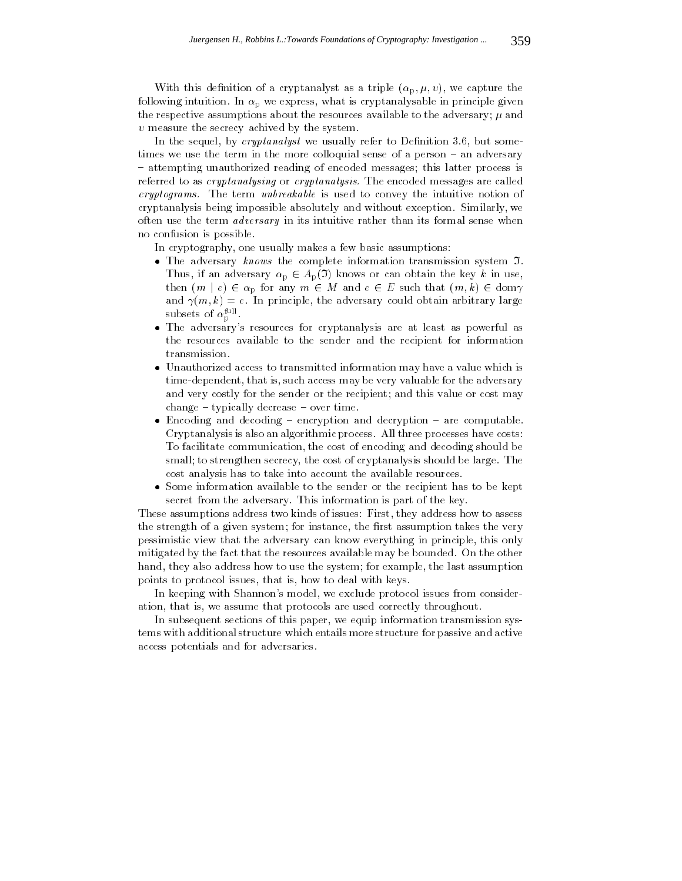With this definition of a cryptanalyst as a triple  $(\alpha_{p}, \mu, \nu)$ , we capture the following intuition. In  $\alpha_{\rm p}$  we express, what is cryptanalysable in principle given the respective assumptions about the resources available to the adversary;  $\mu$  and  $v$  measure the secrecy achived by the system.

In the sequel, by *cryptanalyst* we usually refer to Definition 3.6, but sometimes we use the term in the more colloquial sense of a person - an adversary { attempting unauthorized reading of encoded messages; this latter process is referred to as *cryptanalysing* or *cryptanalysis*. The encoded messages are called cryptograms. The term unbreakable is used to convey the intuitive notion of cryptanalysis being impossible absolutely and without exception. Similarly, we often use the term adversary in its intuitive rather than its formal sense when no confusion is possible.

In cryptography, one usually makes a few basic assumptions:

- $\bullet$  The adversary knows the complete information transmission system  $\mathfrak{I}$ . Thus, if an adversary p 2  $\sim$   $p(x)$  knows or can obtain the key k in use,  $p(x)$ then (m i p for any m  $2$  e  $\lambda$  and  $\lambda$  e  $\lambda$ and  $\gamma(m, k) = e$ . In principle, the adversary could obtain arbitrary large subsets of  $\alpha_{\rm p}$ .
- The adversary's resources for cryptanalysis are at least as powerful as the resources available to the sender and the recipient for information transmission.
- Unauthorized access to transmitted information may have a value which is time-dependent, that is, such access may be very valuable for the adversary and very costly for the sender or the recipient; and this value or cost may  $change - typically decrease - over time.$
- $\bullet$  Encoding and decoding  $-$  encryption and decryption  $-$  are computable. Cryptanalysis is also an algorithmic process. All three processes have costs: To facilitate communication, the cost of encoding and decoding should be small; to strengthen secrecy, the cost of cryptanalysis should be large. The cost analysis has to take into account the available resources.
- Some information available to the sender or the recipient has to be kept secret from the adversary. This information is part of the key.

These assumptions address two kinds of issues: First, they address how to assess the strength of a given system; for instance, the first assumption takes the very pessimistic view that the adversary can know everything in principle, this only mitigated by the fact that the resources available may be bounded. On the other hand, they also address how to use the system; for example, the last assumption points to protocol issues, that is, how to deal with keys.

In keeping with Shannon's model, we exclude protocol issues from consideration, that is, we assume that protocols are used correctly throughout.

In subsequent sections of this paper, we equip information transmission systems with additional structure which entails more structure for passive and active access potentials and for adversaries.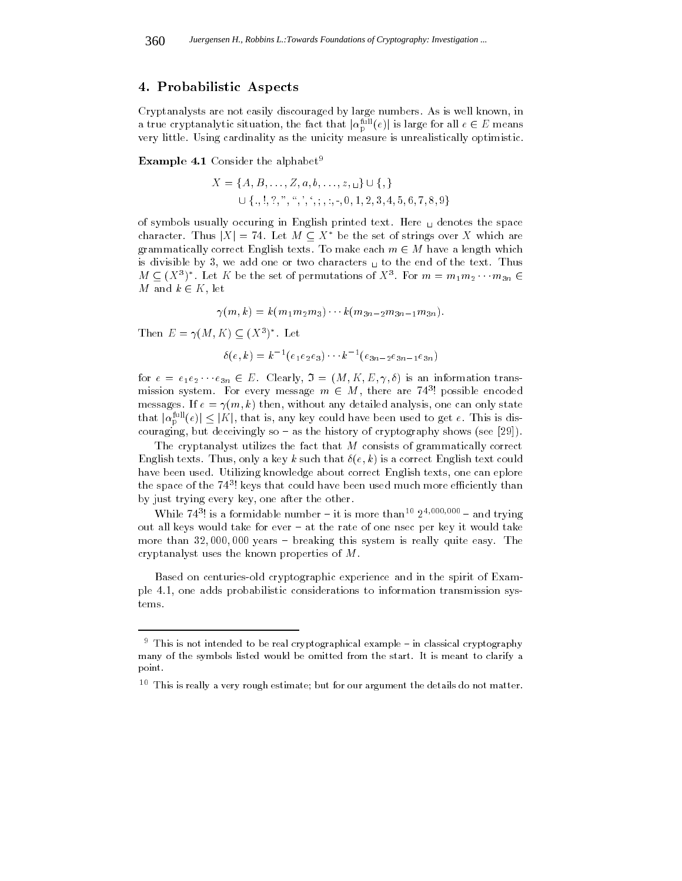## 4. Probabilistic Aspects

Cryptanalysts are not easily discouraged by large numbers. As is well known, in a true cryptanalytic situation, the fact that  $\vert a^{\leftarrow}_p(e)\vert$  is large for all  $e\in E$  means very little. Using cardinality as the unicity measure is unrealistically optimistic.

**Example 4.1** Consider the alphabet<sup>9</sup>

$$
X = \{A, B, \ldots, Z, a, b, \ldots, z, \ldots\} \cup \{,\}
$$
  

$$
\cup \{., !, ?, ", ", ', ', ; , :, -, 0, 1, 2, 3, 4, 5, 6, 7, 8, 9\}
$$

 $\bigcup \{., !, ?, ", *, ', ', ;, :, -, 0, 1, 2, 3, 4, 5, 6, 7, 8, 9\}$ <br>of symbols usually occuring in English printed text. Here  $\bigcup$  denotes the space character. Thus  $|X| = 74$ . Let  $M \subseteq X^*$  be the set of strings over X which are  $\alpha$  and  $\alpha$  and  $\alpha$  the set  $\alpha$  make each matrix  $\alpha$  make the  $\alpha$  matrix which which we have a length which which we have a length which we have a length which we have a length which we have a length which we have a is divisible by 3, we add one or two characters  $\mathbf{u}$  to the end of the text. Thus  $M \subseteq (X^{\circ})$  . Let  $K$  be the set of permutations of  $X^{\circ}$ . For  $m = m_1 m_2 \cdots m_{3n} \in$ m and k 2 K, let

 $(1 \times 1 \times 1 \times 1 \times 2 \times 3)$   $(1 \times 3n - 2 \times 3n - 1 \times 3n)$ 

Then  $E = \gamma(M, K) \subseteq (X^*)$ . Let

$$
\delta(e,k) = k^{-1}(e_1e_2e_3)\cdots k^{-1}(e_{3n-2}e_{3n-1}e_{3n})
$$

for each  $\epsilon$  is an information transformation trans-trans-trans-trans-trans-transmission system. For every message  $m \in M$ , there are  $74$  ! possible encoded messages. If  $e = \gamma(m, k)$  then, without any detailed analysis, one can only state that  $|\alpha_{\rm p}| \left( e \right) | \leq |\Lambda|$ , that is, any key could have been used to get e. This is discouraging, but deceivingly so  $-$  as the history of cryptography shows (see [29]).

The cryptanalyst utilizes the fact that  $M$  consists of grammatically correct English texts. Thus, only a key k such that  $\delta(e, k)$  is a correct English text could have been used. Utilizing knowledge about correct English texts, one can eplore the space of the 747! Reys that could have been used much more emclently than by just trying every key, one after the other.

While  $74^\circ$ ! is a formidable number  $-$  it is more than<sup>2</sup>  $2^\circ$   $2^\circ$   $2^\circ$   $-$  and trying out all keys would take for ever { at the rate of one nsec per key it would take more than  $32,000,000$  years  $-$  breaking this system is really quite easy. The cryptanalyst uses the known properties of M.

Based on centuries-old cryptographic experience and in the spirit of Example 4.1, one adds probabilistic considerations to information transmission systems.

 $^\circ$  -finis is not intended to be real cryptographical example  $-$  in classical cryptography many of the symbols listed would be omitted from the start. It is meant to clarify a point.

 $^\circ$  - 1 nis is really a very rough estimate; but for our argument the details do not matter.  $^\circ$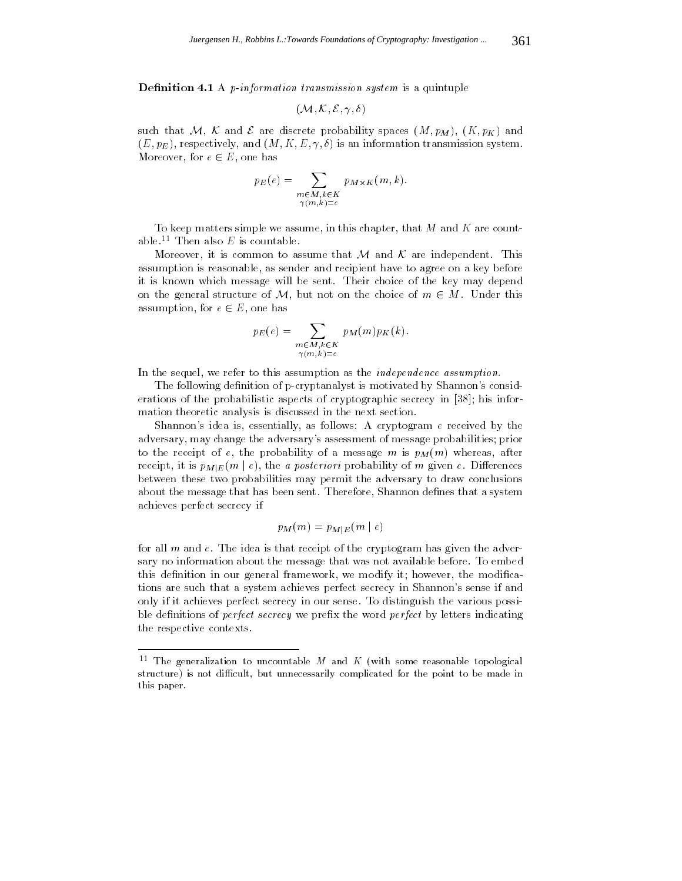**Definition 4.1** A *p*-information transmission system is a quintuple

$$
(\mathcal{M},\mathcal{K},\mathcal{E},\gamma,\delta)
$$

such that M, K and E are discrete probability spaces  $(M, p_M)$ ,  $(K, p_K)$  and  $(E, p_E)$ , respectively, and  $(M, K, E, \gamma, \delta)$  is an information transmission system.  $\mathcal{L}$  and  $\mathcal{L}$  are  $\mathcal{L}$  and  $\mathcal{L}$  are the form of  $\mathcal{L}$ 

$$
p_E(e) = \sum_{\substack{m \in M, k \in K \\ \gamma(m,k)=e}} p_{M \times K}(m, k).
$$

To keep matters simple we assume, in this chapter, that  $M$  and  $K$  are countable.<sup>11</sup> Then also  $E$  is countable.

More over, it is common to assume that  $M$  and  $\mathcal{N}$  are independent. This common that  $\mathbf{1}$ assumption is reasonable, as sender and recipient have to agree on a key before it is known which message will be sent. Their choice of the key may depend on the general structure of M, but not on the choice of  $m \in M$ . Under this assumption, for example,  $\mathbf{r} = \mathbf{r} \cdot \mathbf{r}$ 

$$
p_E(e) = \sum_{\substack{m \in M, k \in K \\ \gamma(m,k) = e}} p_M(m) p_K(k).
$$

In the sequel, we refer to this assumption as the independence assumption.

The following definition of p-cryptanalyst is motivated by Shannon's considerations of the probabilistic aspects of cryptographic secrecy in [38]; his information theoretic analysis is discussed in the next section.

Shannon's idea is, essentially, as follows: A cryptogram  $e$  received by the adversary, may change the adversary's assessment of message probabilities; prior to the receipt of e, the probability of a message m is  $p_M(m)$  whereas, after receipt, it is  $p_{M|E}(m \mid e)$ , the *a posteriori* probability of *m* given *e*. Differences between these two probabilities may permit the adversary to draw conclusions about the message that has been sent. Therefore, Shannon defines that a system achieves perfect secrecy if

$$
p_M(m) = p_{M|E}(m \mid e)
$$

for all  $m$  and  $e$ . The idea is that receipt of the cryptogram has given the adversary no information about the message that was not available before. To embed this definition in our general framework, we modify it; however, the modifications are such that a system achieves perfect secrecy in Shannon's sense if and only if it achieves perfect secrecy in our sense. To distinguish the various possible definitions of *perfect secrecy* we prefix the word *perfect* by letters indicating the respective contexts.

 $\lceil \cdot \rceil$  ine generalization to uncountable  $M$  and  $K$  (with some reasonable topological structure) is not difficult, but unnecessarily complicated for the point to be made in this paper.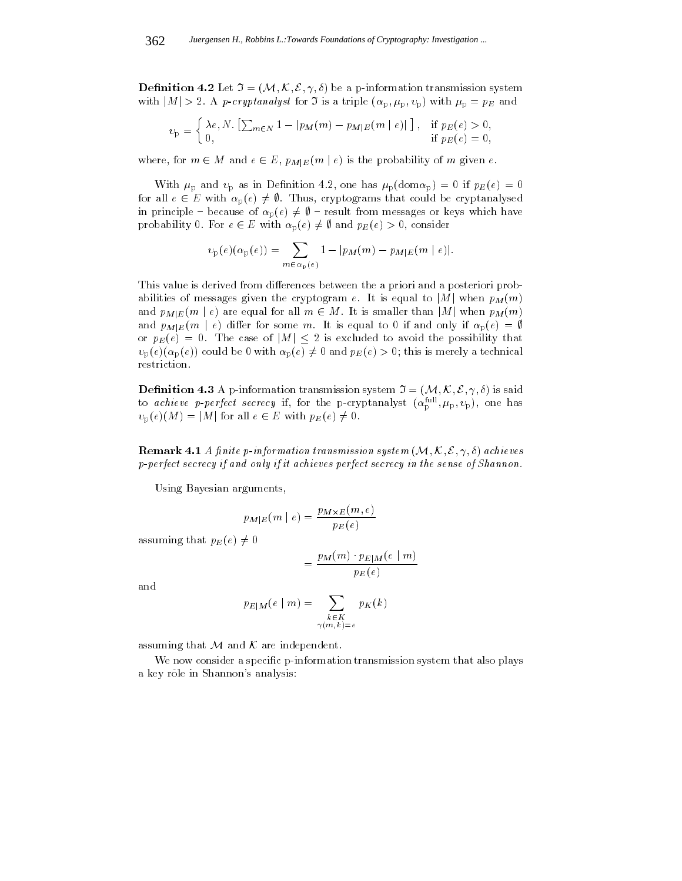**Definition 4.2** Let  $\mathfrak{I} = (\mathcal{M}, \mathcal{K}, \mathcal{E}, \gamma, \delta)$  be a p-information transmission system with  $|M| > 2$ . A p-cryptanalyst for 3 is a triple  $(\alpha_p, \mu_p, \nu_p)$  with  $\mu_p = p_E$  and

$$
v_{\rm p} = \begin{cases} \lambda e, N. \left[ \sum_{m \in N} 1 - |p_M(m) - p_{M|E}(m \mid e) | \right], & \text{if } p_E(e) > 0, \\ 0, & \text{if } p_E(e) = 0, \end{cases}
$$

where, for m 2 m and e  $2 = 1$  M  $E(W, \ldots, \ldots)$  is the probability of m given e.

With  $\mu_{\rm p}$  and  $v_{\rm p}$  as in Definition 4.2, one has  $\mu_{\rm p}(\text{dom}\alpha_{\rm p})=0$  if  $p_E(e)=0$ for all examples  $\mathcal{L}$  is the could be could be could be could be could be could be could be could be could be could be could be could be could be could be could be could be could be could be could be could be could be in principle – because of  $\alpha_p(e) \neq \emptyset$  – result from messages or keys which have probability  $\mathbf{P}(\mathcal{A})$  for  $\mathbf{P}(\mathcal{A})$  and  $\mathbf{P}(\mathcal{A})$  is and  $\mathbf{P}(\mathcal{A})$  is and  $\mathbf{P}(\mathcal{A})$  is and  $\mathbf{P}(\mathcal{A})$  is an and  $\mathbf{P}(\mathcal{A})$  is an analyzing the subset of  $\mathbf{P}(\mathcal{A})$  is a subset of  $\mathbf{$ 

$$
v_{p}(e)(\alpha_{p}(e)) = \sum_{m \in \alpha_{p}(e)} 1 - |p_{M}(m) - p_{M|E}(m | e)|.
$$

This value is derived from differences between the a priori and a posteriori probabilities of messages given the cryptogram e. It is equal to |M| when  $p_M(m)$ and  $p_{M|E}(m \mid e)$  are equal for all  $m \in M$ . It is smaller than |M| when  $p_M(m)$ and  $p_{M|E}(m \mid e)$  differ for some m. It is equal to 0 if and only if  $\alpha_{p}(e) = \emptyset$  or  $p_{E}(e) = 0$ . The case of  $|M| \leq 2$  is excluded to avoid the possibility that  $v_p(e)(\alpha_p(e))$  could be 0 with  $\alpha_p(e) \neq 0$  and  $p_E(e) > 0$ ; this is merely a technical restriction.

**Definition 4.3** A p-information transmission system  $\mathfrak{I} = (\mathcal{M}, \mathcal{K}, \mathcal{E}, \gamma, \delta)$  is said to *achieve p-perfect secrecy* if, for the p-cryptanalyst  $(\alpha_{p}^{n}, \mu_{p}, v_{p})$ , one has  $v_p(e)(M) = |M|$  for all  $e \in E$  with  $p_E(e) \neq 0$ .

**Remark 4.1** A finite p-information transmission system  $(M, K, \mathcal{E}, \gamma, \delta)$  achieves p-perfect secrecy if and only if it achieves perfect secrecy in the sense of Shannon.

Using Bayesian arguments,

$$
p_{M|E}(m | e) = \frac{p_{M \times E}(m, e)}{p_{E}(e)}
$$

assuming that  $p_E(e) \neq 0$ 

$$
= \frac{p_M(m) \cdot p_{E|M}(e \mid m)}{p_E(e)}
$$

and

$$
p_{E|M}(e \mid m) = \sum_{\substack{k \in K \\ \gamma(m,k)=e}} p_K(k)
$$

assuming that M and K are independent.

We now consider a specific p-information transmission system that also plays a key rôle in Shannon's analysis: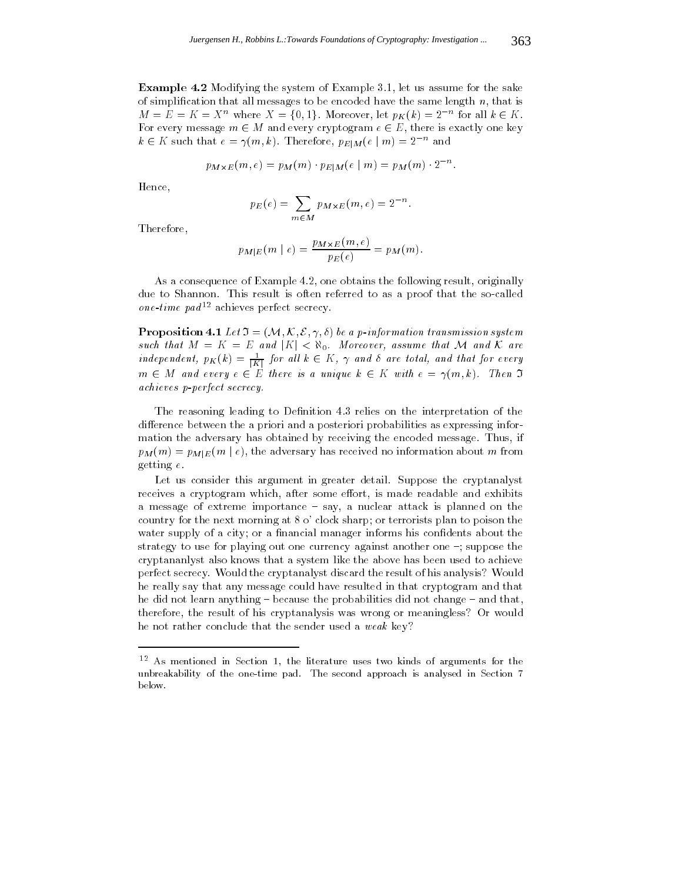Example 4.2 Modifying the system of Example 3.1, let us assume for the sake of simplification that all messages to be encoded have the same length  $n$ , that is  $M \equiv E \equiv K \equiv X$  where  $X = \{0, 1\}$ . Moreover, let  $p_K(\kappa) = 2$  for all  $\kappa \in F$ 2 K. For every message m 2 <sup>M</sup> and every cryptogram <sup>e</sup> 2 E, there is exactly one key  $\kappa \in \Lambda$  such that  $e = \gamma(m, \kappa)$ . Therefore,  $p_{E|M}(e | m) = 2$  and

$$
p_{M \times E}(m, e) = p_M(m) \cdot p_{E|M}(e \mid m) = p_M(m) \cdot 2^{-n}.
$$

Hence,

$$
p_E(e) = \sum_{m \in M} p_{M \times E}(m, e) = 2^{-n}.
$$

Therefore,

$$
p_{M|E}(m | e) = \frac{p_{M \times E}(m, e)}{p_{E}(e)} = p_{M}(m).
$$

As a consequence of Example 4.2, one obtains the following result, originally due to Shannon. This result is often referred to as a proof that the so-called one-time pad<sup>12</sup> achieves perfect secrecy.

 $\mathbf{P}$  representent in the  $\mathbf{v} = (v(t), v(t), v(t))$  be a p-information transmission system such that  $M = \frac{1}{2}$  and  $M = \frac{1}{2}$  and  $M = \frac{1}{2}$  and  $M = \frac{1}{2}$  are over, assume that  $M = \frac{1}{2}$  and  $M = \frac{1}{2}$ independent,  $p_{K}(\kappa) = \frac{1}{|K|}$  for all  $\kappa \in K$ ,  $\gamma$  and  $o$  are total, and that for every m 2 M and every e 2 E there is a unique k 2 K with  $\epsilon$  . Then I with  $\epsilon$ achieves p-perfect secrecy.

The reasoning leading to Definition 4.3 relies on the interpretation of the difference between the a priori and a posteriori probabilities as expressing information the adversary has obtained by receiving the encoded message. Thus, if  $p_M(m) = p_{M|E}(m \mid e)$ , the adversary has received no information about m from getting e.

Let us consider this argument in greater detail. Suppose the cryptanalyst receives a cryptogram which, after some effort, is made readable and exhibits a message of extreme importance - say, a nuclear attack is planned on the country for the next morning at 8 o' clock sharp; or terrorists plan to poison the water supply of a city; or a financial manager informs his confidents about the strategy to use for playing out one currency against another one  $\sim$ ; suppose the cryptananlyst also knows that a system like the above has been used to achieve perfect secrecy. Would the cryptanalyst discard the result of his analysis? Would he really say that any message could have resulted in that cryptogram and that he did not learn anything  $-$  because the probabilities did not change  $-$  and that, therefore, the result of his cryptanalysis was wrong or meaningless? Or would he not rather conclude that the sender used a weak key?

 $^{\circ -}$  As mentioned in Section 1, the literature uses two kinds of arguments for the unbreakability of the one-time pad. The second approach is analysed in Section 7 below.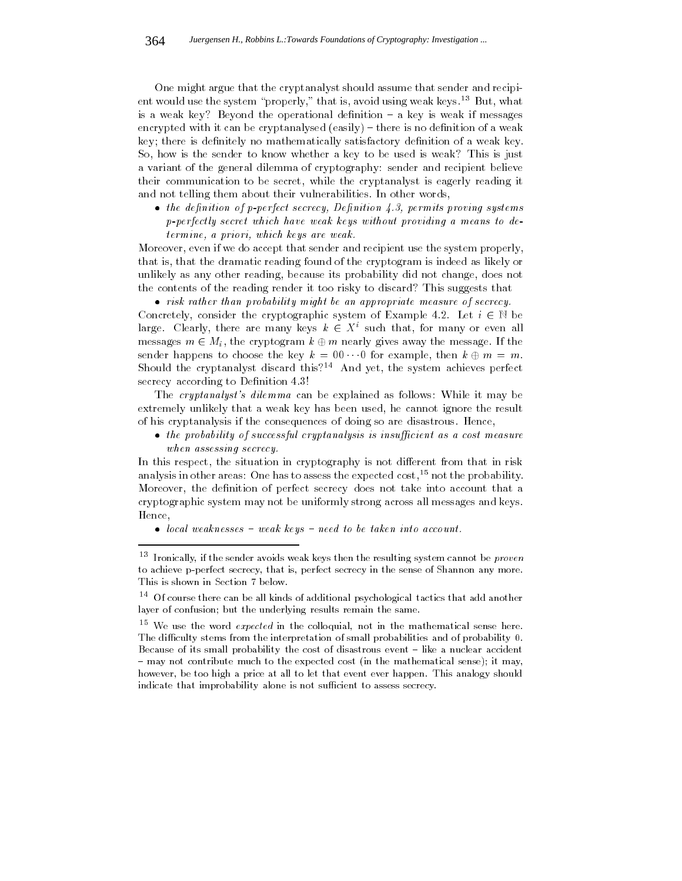One might argue that the cryptanalyst should assume that sender and recipient would use the system "properly," that is, avoid using weak keys.<sup>13</sup> But, what is a weak key? Beyond the operational definition  $-$  a key is weak if messages encrypted with it can be cryptanalysed  $(easily)$  – there is no definition of a weak key; there is definitely no mathematically satisfactory definition of a weak key. So, how is the sender to know whether a key to be used is weak? This is just a variant of the general dilemma of cryptography: sender and recipient believe their communication to be secret, while the cryptanalyst is eagerly reading it and not telling them about their vulnerabilities. In other words,

 $\bullet$  the definition of p-perfect secrecy, Definition 4.3, permits proving systems p-perfectly secret which have weak keys without providing a means to determine, a priori, which keys are weak.

Moreover, even if we do accept that sender and recipient use the system properly, that is, that the dramatic reading found of the cryptogram is indeed as likely or unlikely as any other reading, because its probability did not change, does not the contents of the reading render it too risky to discard? This suggests that

 risk rather than probability might be an appropriate measure of secrecy.  $C$  constructedy, consider the cryptographic system of  $\mathcal{L}_1$  and  $\mathcal{L}_2$  are  $\mathcal{L}_2$  . Let  $\mathcal{L}_3$ large. Clearly, there are many keys  $\kappa \in \Lambda$  such that, for many or even all  $\mathbf{C}$  messages m 2 Mi, the cryptogram k  $\mathbf{C}$  and  $\mathbf{C}$  are message. If the message are message. If the message are message. If the message are message. If the message are message. If the message are message. If sender happens to choose the key k  $\sim$  00 for example, then k  $\sim$  m.  $\sim$  m.  $\sim$  m.  $\sim$  m.  $\sim$  m.  $\sim$  m.  $\sim$  m. Should the cryptanalyst discard this?<sup>14</sup> And yet, the system achieves perfect secrecy according to Definition 4.3!

The cryptanalyst's dilemma can be explained as follows: While it may be extremely unlikely that a weak key has been used, he cannot ignore the result of his cryptanalysis if the consequences of doing so are disastrous. Hence,

 $\bullet$  the probability of successful cryptanalysis is insufficient as a cost measure when assessing secrecy.

In this respect, the situation in cryptography is not different from that in risk analysis in other areas: One has to assess the expected  $\cos t$ ,<sup>15</sup> not the probability. Moreover, the definition of perfect secrecy does not take into account that a cryptographic system may not be uniformly strong across all messages and keys. Hence,

 $\bullet$  local weaknesses  $-$  weak keys  $-$  need to be taken into account.

 $^\circ$  -fronically, if the sender avoids weak keys then the resulting system cannot be  $proven$ to achieve p-perfect secrecy, that is, perfect secrecy in the sense of Shannon any more. This is shown in Section 7 below.

 $^{\circ}$  . Of course there can be all kinds of additional psychological tactics that add another  $^{\circ}$ layer of confusion; but the underlying results remain the same.

 $\tilde{\ }$  . We use the word  $expected$  in the colloquial, not in the mathematical sense here. The difficulty stems from the interpretation of small probabilities and of probability 0. Because of its small probability the cost of disastrous event  $-$  like a nuclear accident - may not contribute much to the expected cost (in the mathematical sense); it may, however, be too high a price at all to let that event ever happen. This analogy should indicate that improbability alone is not sufficient to assess secrecy.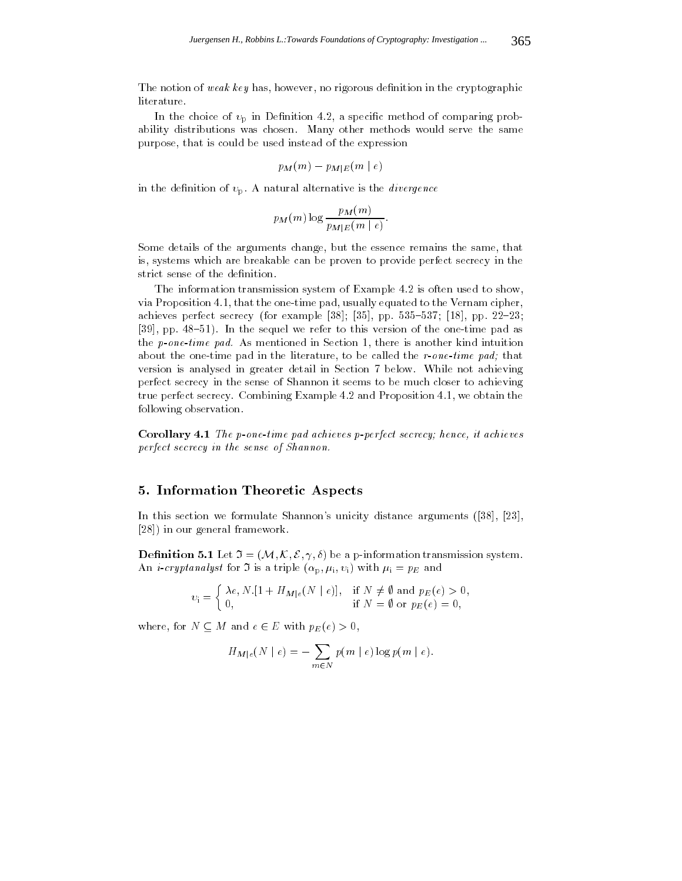The notion of weak key has, however, no rigorous definition in the cryptographic literature.

In the choice of  $v_{\rm p}$  in Definition 4.2, a specific method of comparing probability distributions was chosen. Many other methods would serve the same purpose, that is could be used instead of the expression

$$
p_M(m) - p_{M|E}(m \mid e)
$$

in the definition of  $v_p$ . A natural alternative is the *divergence* 

$$
p_M(m) \log \frac{p_M(m)}{p_{M|E}(m \mid e)}.
$$

Some details of the arguments change, but the essence remains the same, that is, systems which are breakable can be proven to provide perfect secrecy in the strict sense of the definition.

The information transmission system of Example 4.2 is often used to show, via Proposition 4.1, that the one-time pad, usually equated to the Vernam cipher, achieves perfect secrecy (for example [38]; [35], pp. 535-537; [18], pp. 22-23; [39], pp. 48-51). In the sequel we refer to this version of the one-time pad as the p-one-time pad. As mentioned in Section 1, there is another kind intuition about the one-time pad in the literature, to be called the r-one-time pad; that version is analysed in greater detail in Section 7 below. While not achieving perfect secrecy in the sense of Shannon it seems to be much closer to achieving true perfect secrecy. Combining Example 4.2 and Proposition 4.1, we obtain the following observation.

Corollary 4.1 The p-one-time pad achieves p-perfect secrecy; hence, it achieves perfect secrecy in the sense of Shannon.

### 5. Information Theoretic Aspects

In this section we formulate Shannon's unicity distance arguments ([38], [23], [28]) in our general framework.

**Definition 5.1** Let  $\mathfrak{I} = (\mathcal{M}, \mathcal{K}, \mathcal{E}, \gamma, \delta)$  be a p-information transmission system. An *i-cryptanalyst* for  $\Im$  is a triple  $(\alpha_p, \mu_i, v_i)$  with  $\mu_i = p_E$  and

$$
v_{\mathbf{i}} = \begin{cases} \lambda e, N. [1 + H_{M|e}(N | e)], & \text{if } N \neq \emptyset \text{ and } p_E(e) > 0, \\ 0, & \text{if } N = \emptyset \text{ or } p_E(e) = 0, \end{cases}
$$

where, for  $M \equiv M$  and e  $2 = 0$  with  $p \equiv Q$  (e)  $\ell = 0$ ,

$$
H_{M|e}(N \mid e) = -\sum_{m \in N} p(m \mid e) \log p(m \mid e).
$$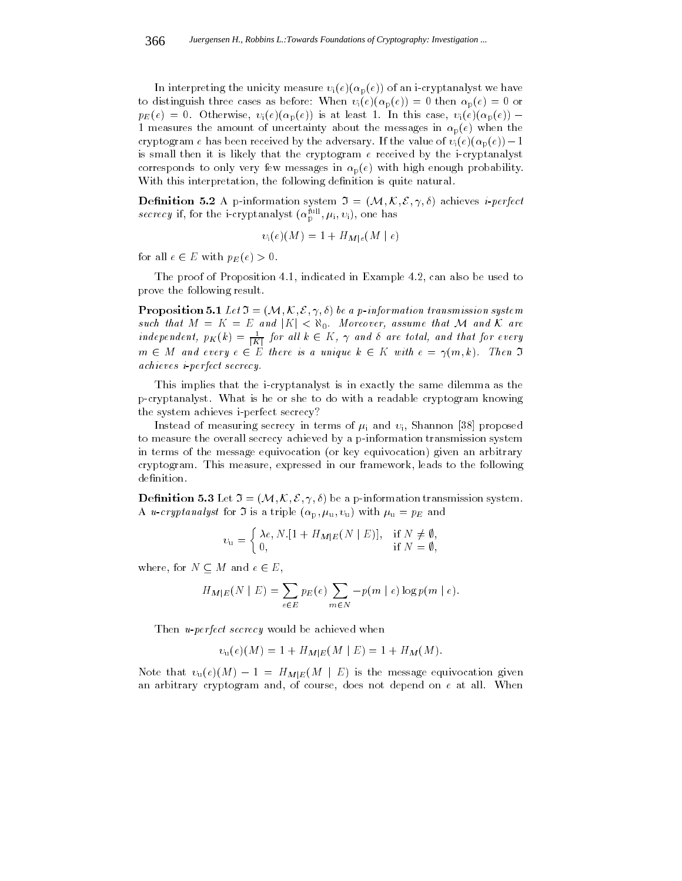In interpreting the unicity measure  $v_i(e)(\alpha_p(e))$  of an i-cryptanalyst we have to distinguish three cases as before: When  $v_i(e)(\alpha_p(e)) = 0$  then  $\alpha_p(e) = 0$  or pE(e) = 0. Otherwise, i (e)(p(e)) is at least 1. In this case, i (e)(p(e)) 1 measures the amount of uncertainty about the messages in  $\alpha_p(e)$  when the cryptogram e has been received by the adversary. If the value of  $v_i (e) (\alpha_p(e))-1$ is small then it is likely that the cryptogram  $e$  received by the i-cryptanalyst corresponds to only very few messages in  $\alpha_p(e)$  with high enough probability. With this interpretation, the following definition is quite natural.

**Definition 5.2** A p-information system  $\mathfrak{I} = (\mathcal{M}, \mathcal{K}, \mathcal{E}, \gamma, \delta)$  achieves *i-perfect secrecy* if, for the i-cryptanalyst  $(\alpha_{\rm p}^{\rm m}, \mu_{\rm i}, v_{\rm i})$ , one has

$$
v_{\rm i}(e)(M)=1+H_{M|e}(M\mid e)
$$

for all  $\epsilon = \epsilon$  is  $\epsilon$  if  $\epsilon$  is  $\epsilon$ .

The proof of Proposition 4.1, indicated in Example 4.2, can also be used to prove the following result.

**Proposition 5.1** Let  $\mathfrak{I} = (\mathcal{M}, \mathcal{K}, \mathcal{E}, \gamma, \delta)$  be a p-information transmission system such that  $M = K = E$  and  $|K| < \aleph_0$ . Moreover, assume that M and K are independent,  $p_{K}(\kappa) = \frac{1}{|K|}$  for all  $\kappa \in K$ ,  $\gamma$  and  $o$  are total, and that for every m 2 M and every e 2 E there is a unique k 2 K with e  $\mathcal{N}(m,n)$ . Then I will achieves i-perfect secrecy.

This implies that the i-cryptanalyst is in exactly the same dilemma as the p-cryptanalyst. What is he or she to do with a readable cryptogram knowing the system achieves i-perfect secrecy?

Instead of measuring secrecy in terms of  $\mu_i$  and  $v_i$ , Shannon [38] proposed to measure the overall secrecy achieved by a p-information transmission system in terms of the message equivocation (or key equivocation) given an arbitrary cryptogram. This measure, expressed in our framework, leads to the following definition.

**Definition 5.3** Let  $\mathfrak{I} = (\mathcal{M}, \mathcal{K}, \mathcal{E}, \gamma, \delta)$  be a p-information transmission system. A *u*-cryptanalyst for  $\mathfrak I$  is a triple  $(\alpha_p, \mu_u, \nu_u)$  with  $\mu_u = p_E$  and

$$
\upsilon_{\mathbf{u}} = \begin{cases} \lambda e, N.[1 + H_{M|E}(N | E)], & \text{if } N \neq \emptyset, \\ 0, & \text{if } N = \emptyset, \end{cases}
$$

where, for  $M = 2$  E, and e 2 E, and e 2 E, and e 2 E, and e 2 E, and e 2 E, and e 2 E, and e 2 E, and e 2 E, and e 2 E, and e 2 E, and e 2 E, and e 2 E, and e 2 E, and e 2 E, and e 2 E, and e 2 E, and e 2 E, and e 2 E, an

$$
H_{M|E}(N | E) = \sum_{e \in E} p_E(e) \sum_{m \in N} -p(m | e) \log p(m | e).
$$

Then *u-perfect secrecy* would be achieved when

$$
v_{\rm u}(e)(M) = 1 + H_{M|E}(M | E) = 1 + H_M(M).
$$

Note that u(e)(M) 1 = HMjE(M j E) is the message equivocation given an arbitrary cryptogram and, of course, does not depend on  $e$  at all. When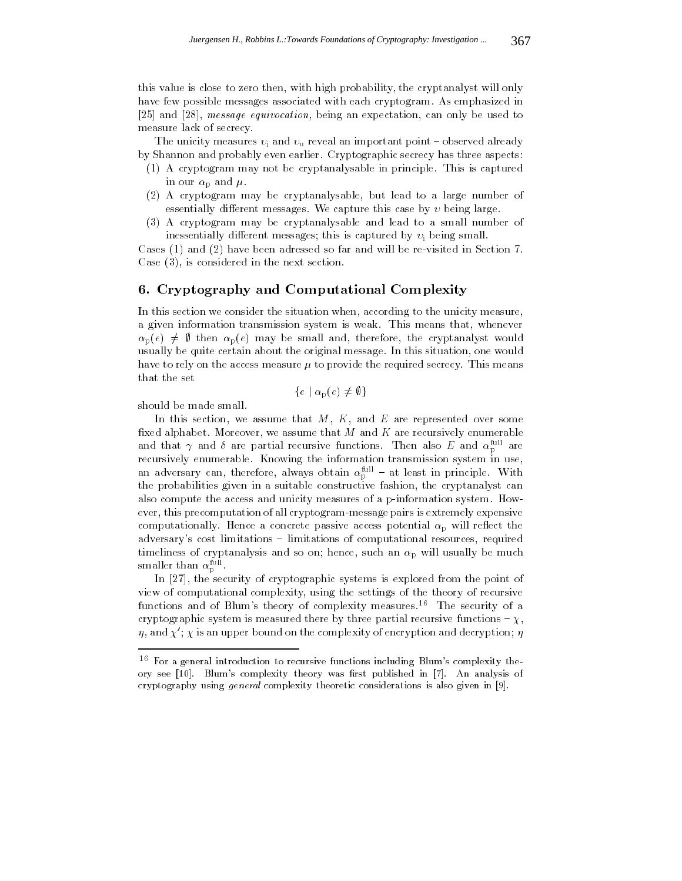this value is close to zero then, with high probability, the cryptanalyst will only have few possible messages associated with each cryptogram. As emphasized in [25] and [28], message equivocation, being an expectation, can only be used to measure lack of secrecy.

The unicity measures  $v_i$  and  $v_u$  reveal an important point - observed already by Shannon and probably even earlier. Cryptographic secrecy has three aspects:

- (1) A cryptogram may not be cryptanalysable in principle. This is captured in our  $\alpha_{\rm p}$  and  $\mu$ .
- (2) A cryptogram may be cryptanalysable, but lead to a large number of essentially different messages. We capture this case by  $v$  being large.
- (3) A cryptogram may be cryptanalysable and lead to a small number of inessentially different messages; this is captured by  $v_i$  being small.

Cases (1) and (2) have been adressed so far and will be re-visited in Section 7. Case (3), is considered in the next section.

## 6. Cryptography and Computational Complexity

In this section we consider the situation when, according to the unicity measure, a given information transmission system is weak. This means that, whenever  $\alpha_p(e) \neq \emptyset$  then  $\alpha_p(e)$  may be small and, therefore, the cryptanalyst would usually be quite certain about the original message. In this situation, one would have to rely on the access measure  $\mu$  to provide the required secrecy. This means that the set

$$
\{e \mid \alpha_{\rm p}(e) \neq \emptyset\}
$$

should be made small.

In this section, we assume that  $M, K$ , and E are represented over some fixed alphabet. Moreover, we assume that  $M$  and  $K$  are recursively enumerable and that  $\gamma$  and  $\sigma$  are partial recursive functions. Then also E and  $\alpha_{\rm p}^{\rm max}$  are recursively enumerable. Knowing the information transmission system in use, an adversary can, therefore, always obtain  $\alpha_{\rm p}^{\rm m}$  – at least in principle. With the probabilities given in a suitable constructive fashion, the cryptanalyst can also compute the access and unicity measures of a p-information system. However, this precomputation of all cryptogram-message pairs is extremely expensive computationally. Hence a concrete passive access potential  $\alpha_p$  will reflect the adversary's cost limitations – limitations of computational resources, required timeliness of cryptanalysis and so on; hence, such an  $\alpha_{\rm p}$  will usually be much smaller than  $\alpha_{_{\rm D}}$  . . .

In [27], the security of cryptographic systems is explored from the point of view of computational complexity, using the settings of the theory of recursive functions and of Blum's theory of complexity measures.<sup>16</sup> The security of a cryptographic system is measured there by three partial recursive functions  $-\chi$ ,  $\eta$ , and  $\chi'$ ;  $\chi$  is an upper bound on the complexity of encryption and decryption;  $\eta$ 

<sup>&</sup>lt;sup>16</sup> For a general introduction to recursive functions including Blum's complexity theory see [10]. Blum's complexity theory was first published in [7]. An analysis of cryptography using general complexity theoretic considerations is also given in [9].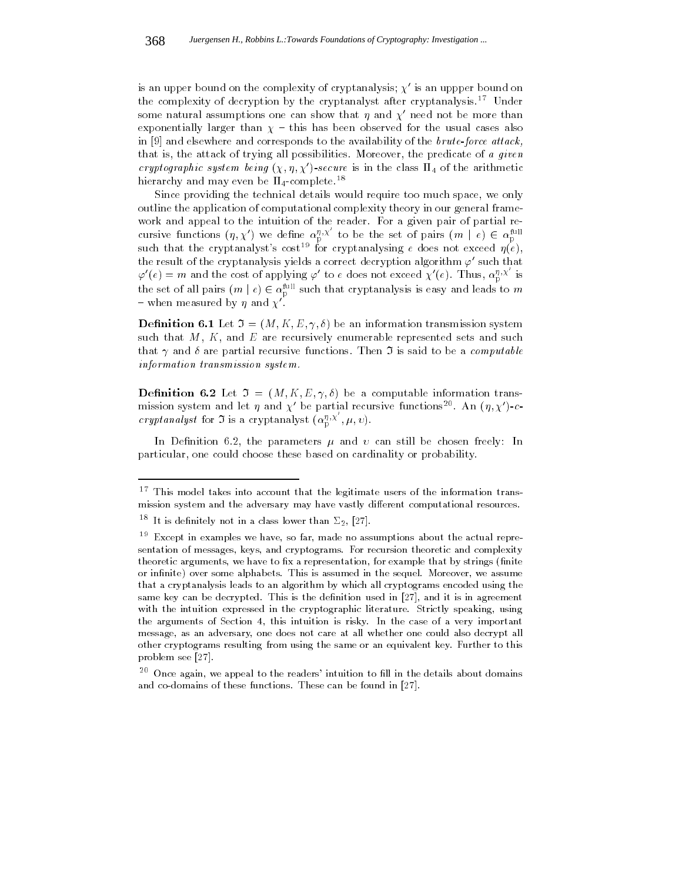is an upper bound on the complexity of cryptanalysis;  $\chi'$  is an uppper bound on the complexity of decryption by the cryptanalyst after cryptanalysis.<sup>17</sup> Under some natural assumptions one can show that  $\eta$  and  $\chi'$  need not be more than exponentially larger than  $\chi$  - this has been observed for the usual cases also in  $[9]$  and elsewhere and corresponds to the availability of the brute-force attack, that is, the attack of trying all possibilities. Moreover, the predicate of a given cryptographic system being  $(\chi, \eta, \chi')$ -secure is in the class  $\Pi_4$  of the arithmetic hierarchy and may even be  $\Pi_4$ -complete.<sup>18</sup>

Since providing the technical details would require too much space, we only outline the application of computational complexity theory in our general frame work and appeal to the intuition of the reader. For a given pair of partial recursive functions  $(\eta, \chi')$  we define  $\alpha_{p}^{\eta, \chi}$  to be the set of pairs  $(m \mid e) \in \alpha_{p}^{\text{run}}$ <br>such that the cryptanalyst's cost<sup>19</sup> for cryptanalysing *e* does not exceed  $\eta(e)$ , the result of the cryptanalysis yields a correct decryption algorithm  $\varphi'$  such that  $\varphi'(e) = m$  and the cost of applying  $\varphi'$  to e does not exceed  $\chi'(e)$ . Thus,  $\alpha_0^{n,X}$  is the set of all pairs  $(m \mid e) \in \alpha_p^{\text{max}}$  such that cryptanalysis is easy and leads to m - when measured by  $\eta$  and  $\chi'$ .

**Definition 6.1** Let  $\mathfrak{I} = (M, K, E, \gamma, \delta)$  be an information transmission system such that  $M, K$ , and E are recursively enumerable represented sets and such that  $\gamma$  and  $\delta$  are partial recursive functions. Then  $\mathfrak I$  is said to be a *computable* information transmission system.

**Definition 6.2** Let  $\mathfrak{I} = (M, K, E, \gamma, \delta)$  be a computable information transmission system and let  $\eta$  and  $\chi'$  be partial recursive functions<sup>20</sup>. An  $(\eta, \chi')$ -ccryptanalyst for  $\mathfrak I$  is a cryptanalyst  $(\alpha_{\mathrm{p}}^{\eta,\chi},\mu,\upsilon)$ .

In Definition 6.2, the parameters  $\mu$  and  $\nu$  can still be chosen freely: In particular, one could choose these based on cardinality or probability.

<sup>17</sup> This model takes into account that the legitimate users of the information transmission system and the adversary may have vastly different computational resources.

 $\lceil \cdot \rceil$  it is definitely not in a class lower than  $\lfloor \sqrt{2} \rfloor, \lfloor \sqrt{27} \rfloor.$ 

 $\tilde{\phantom{a}}$  Except in examples we have, so far, made no assumptions about the actual representation of messages, keys, and cryptograms. For recursion theoretic and complexity theoretic arguments, we have to fix a representation, for example that by strings (finite or infinite) over some alphabets. This is assumed in the sequel. Moreover, we assume that a cryptanalysis leads to an algorithm by which all cryptograms encoded using the same key can be decrypted. This is the definition used in [27], and it is in agreement with the intuition expressed in the cryptographic literature. Strictly speaking, using the arguments of Section 4, this intuition is risky. In the case of a very important message, as an adversary, one does not care at all whether one could also decrypt all other cryptograms resulting from using the same or an equivalent key. Further to this problem see [27].

 $20$  Once again, we appeal to the readers' intuition to fill in the details about domains and co-domains of these functions. These can be found in [27].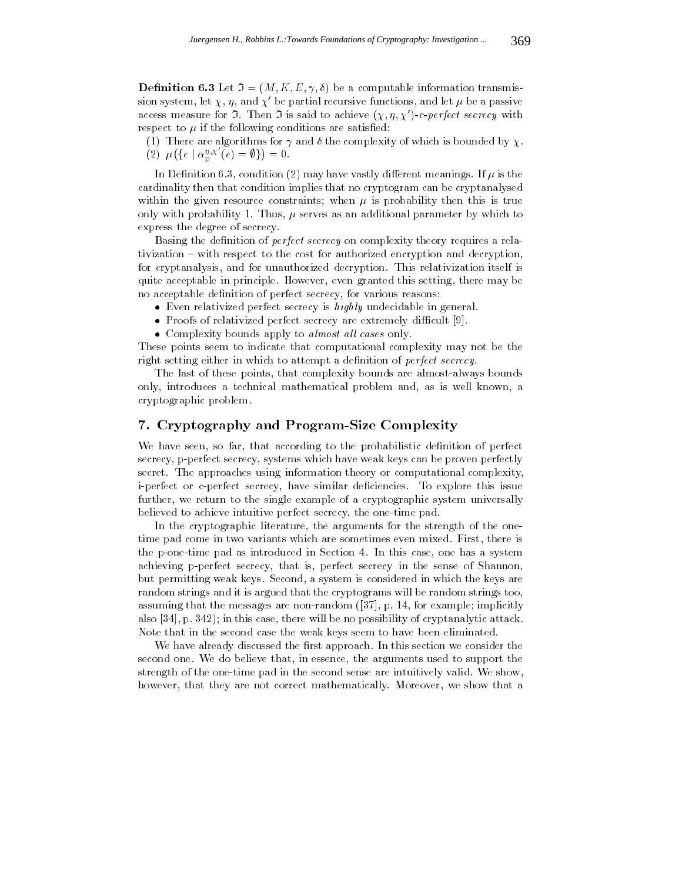**Definition 6.3** Let  $\mathfrak{I} = (M, K, E, \gamma, \delta)$  be a computable information transmission system, let  $\chi$ ,  $\eta$ , and  $\chi'$  be partial recursive functions, and let  $\mu$  be a passive access measure for  $\Im$ . Then  $\Im$  is said to achieve  $(\chi, \eta, \chi')$ -c-perfect secrecy with respect to  $\mu$  if the following conditions are satisfied:

(1) There are algorithms for  $\gamma$  and  $\delta$  the complexity of which is bounded by  $\chi$ . (2)  $\mu({e \mid \alpha_p^{\eta,\chi'}(e) = \emptyset}) = 0.$ 

In Definition 6.3, condition (2) may have vastly different meanings. If  $\mu$  is the cardinality then that condition implies that no cryptogram can be cryptanalysed within the given resource constraints; when  $\mu$  is probability then this is true only with probability 1. Thus,  $\mu$  serves as an additional parameter by which to express the degree of secrecy.

Basing the definition of *perfect secrecy* on complexity theory requires a relativization { with respect to the cost for authorized encryption and decryption, for cryptanalysis, and for unauthorized decryption. This relativization itself is quite acceptable in principle. However, even granted this setting, there may be no acceptable definition of perfect secrecy, for various reasons:

- Even relativized perfect secrecy is highly undecidable in general.
- Proofs of relativized perfect secrecy are extremely difficult  $[9]$ .
- Complexity bounds apply to *almost all cases* only.

These points seem to indicate that computational complexity may not be the right setting either in which to attempt a definition of *perfect secrecy*.

The last of these points, that complexity bounds are almost-always bounds only, introduces a technical mathematical problem and, as is well known, a cryptographic problem.

## 7. Cryptography and Program-Size Complexity

We have seen, so far, that according to the probabilistic definition of perfect secrecy, p-perfect secrecy, systems which have weak keys can be proven perfectly secret. The approaches using information theory or computational complexity, i-perfect or c-perfect secrecy, have similar deficiencies. To explore this issue further, we return to the single example of a cryptographic system universally believed to achieve intuitive perfect secrecy, the one-time pad.

In the cryptographic literature, the arguments for the strength of the onetime pad come in two variants which are sometimes even mixed. First, there is the p-one-time pad as introduced in Section 4. In this case, one has a system achieving p-perfect secrecy, that is, perfect secrecy in the sense of Shannon, but permitting weak keys. Second, a system is considered in which the keys are random strings and it is argued that the cryptograms will be random strings too, assuming that the messages are non-random ([37], p. 14, for example; implicitly also [34], p. 342); in this case, there will be no possibility of cryptanalytic attack. Note that in the second case the weak keys seem to have been eliminated.

We have already discussed the first approach. In this section we consider the second one. We do believe that, in essence, the arguments used to support the strength of the one-time pad in the second sense are intuitively valid. We show, however, that they are not correct mathematically. Moreover, we show that a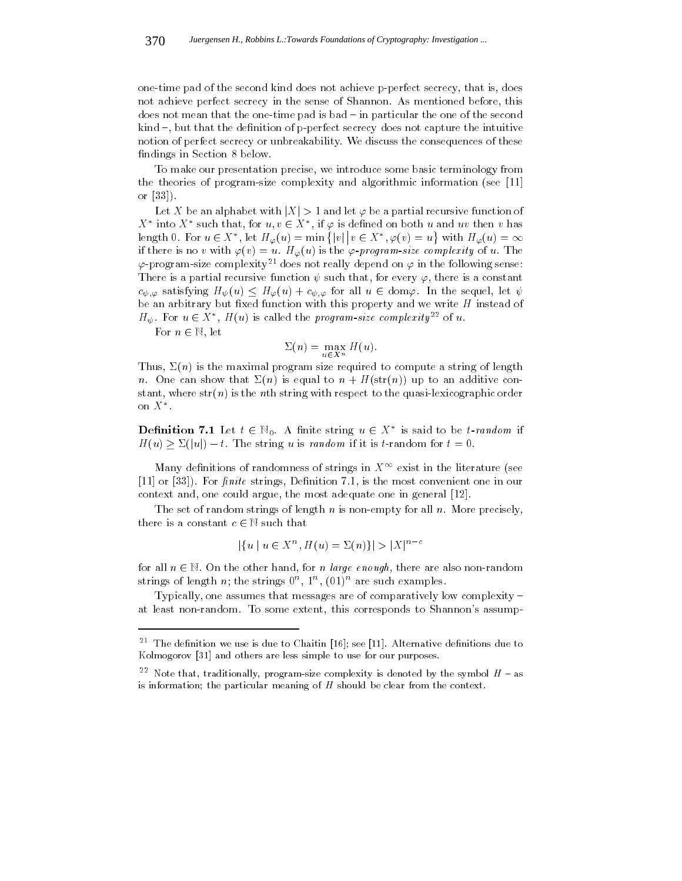one-time pad of the second kind does not achieve p-perfect secrecy, that is, does not achieve perfect secrecy in the sense of Shannon. As mentioned before, this does not mean that the one-time pad is bad – in particular the one of the second kind  $-$ , but that the definition of p-perfect secrecy does not capture the intuitive notion of perfect secrecy or unbreakability. We discuss the consequences of these findings in Section 8 below.

To make our presentation precise, we introduce some basic terminology from the theories of program-size complexity and algorithmic information (see [11] or [33]).

Let X be an alphabet with  $|X| > 1$  and let  $\varphi$  be a partial recursive function of  $\lambda$  into  $\lambda$  such that, for  $u, v \in \lambda$ , if  $\varphi$  is defined on both u and uv then v has length 0. For  $u \in X^*$ , let  $H_{\varphi}(u) = \min\{|v|\,| \, v \in X^*, \varphi(v) = u\}$  with  $H_{\varphi}(u) = \infty$ if there is no v with  $\varphi(v) = u$ .  $H_{\varphi}(u)$  is the  $\varphi$ -program-size complexity of u. The  $\varphi$ -program-size complexity<sup>21</sup> does not really depend on  $\varphi$  in the following sense: There is a partial recursive function  $\psi$  such that, for every  $\varphi$ , there is a constant  $c_{\psi,\varphi}$  satisfying  $H_{\psi}(u) \leq H_{\varphi}(u) + c_{\psi,\varphi}$  for all  $u \in \text{dom}\varphi$ . In the sequel, let  $\psi$ be an arbitrary but fixed function with this property and we write  $H$  instead of  $H_{\psi}$ . For  $u \in X$ ,  $H(u)$  is called the *program-size complexity*<sup>--</sup> of u.

For n 2 N, let

$$
\Sigma(n) = \max_{u \in X^n} H(u).
$$

Thus,  $\Sigma(n)$  is the maximal program size required to compute a string of length n. One can show that  $\Sigma(n)$  is equal to  $n + H(\text{str}(n))$  up to an additive constant, where  $str(n)$  is the *n*<sup>th</sup> string with respect to the quasi-lexicographic order on  $\Lambda$  .

**Definition** 7.1 Let  $t \in \mathbb{N}_0$ . A limite string  $u \in X$  is said to be *t*-random if  $\mathcal{N}(y) = \mathcal{N}(y)$  is the string upper string up in the string upper string up in the  $\mathcal{N}(y)$ 

Many definitions of randomness of strings in  $X^{\infty}$  exist in the literature (see  $[11]$  or  $[33]$ ). For *finite* strings, Definition 7.1, is the most convenient one in our context and, one could argue, the most adequate one in general [12].

The set of random strings of length  $n$  is non-empty for all  $n$ . More precisely,  $t_{\text{max}}$  is a complete c  $\epsilon$ , such that

$$
|\{u \mid u \in X^n, H(u) = \Sigma(n)\}| > |X|^{n-c}
$$

for all  $\sim$  2 N. On the other hand, for n large enough, there are also non-randomized strings of length  $n$ ; the strings  $0^{\circ}$ ,  $1^{\circ}$ , (01) $^{\circ}$  are such examples.

Typically, one assumes that messages are of comparatively low complexity  $$ at least non-random. To some extent, this corresponds to Shannon's assump-

 $^{\circ}$  –1 ne dennition we use is due to Unaitin [16]; see [11]. Alternative dennitions due to Kolmogorov [31] and others are less simple to use for our purposes.

 $^{-1}$  Note that, traditionally, program-size complexity is denoted by the symbol  $H$   $-$  as is information; the particular meaning of  $H$  should be clear from the context.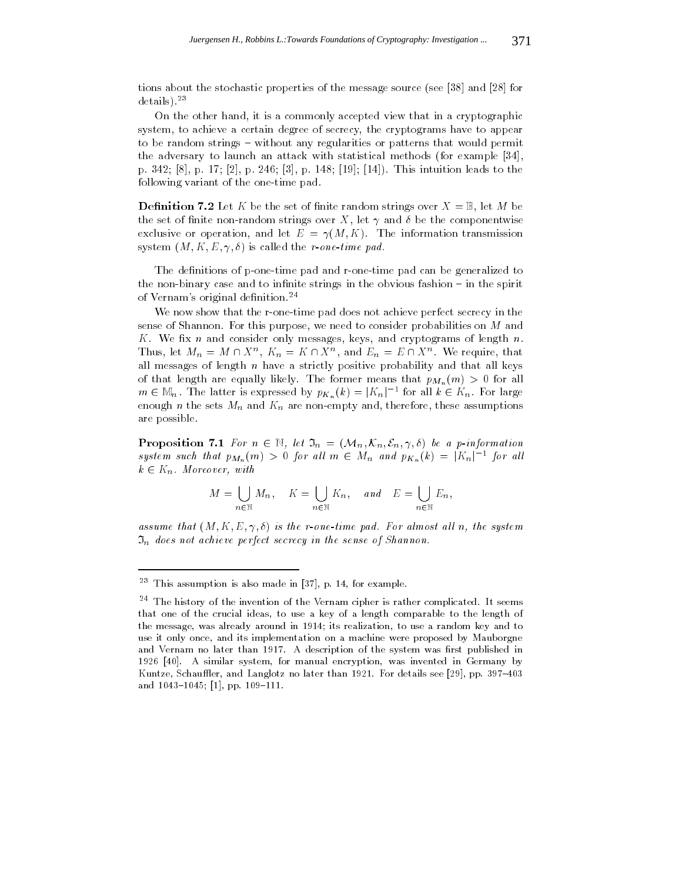tions about the stochastic properties of the message source (see [38] and [28] for details).23

On the other hand, it is a commonly accepted view that in a cryptographic system, to achieve a certain degree of secrecy, the cryptograms have to appear to be random strings – without any regularities or patterns that would permit the adversary to launch an attack with statistical methods (for example [34], p. 342; [8], p. 17; [2], p. 246; [3], p. 148; [19]; [14]). This intuition leads to the following variant of the one-time pad.

**Definition 7.2** Let K be the set of finite random strings over  $X = \mathbb{B}$ , let M be the set of finite non-random strings over X, let  $\gamma$  and  $\delta$  be the componentwise exclusive or operation, and let  $E = \gamma(M,K)$ . The information transmission system  $(M, K, E, \gamma, \delta)$  is called the *r-one-time pad.* 

The definitions of p-one-time pad and r-one-time pad can be generalized to the non-binary case and to infinite strings in the obvious fashion  $-$  in the spirit of Vernam's original definition.<sup>24</sup>

We now show that the r-one-time pad does not achieve perfect secrecy in the sense of Shannon. For this purpose, we need to consider probabilities on M and K. We fix n and consider only messages, keys, and cryptograms of length  $n$ . Thus, let  $M_n = M \sqcup \Lambda$ ,  $K_n = K \sqcup \Lambda$ , and  $E_n = E \sqcup \Lambda$ . We require, that all messages of length  $n$  have a strictly positive probability and that all keys of that length are equally likely. The former means that  $p_{M_n}(m) > 0$  for all  $m \in \mathbb{N}_n$ . The latter is expressed by  $p_{K_n}(\kappa) = |\Lambda_n|$  for all  $\kappa \in \Lambda_n$ . For large enough n the sets  $M_n$  and  $K_n$  are non-empty and, therefore, these assumptions are possible.

Proposition 7.1 For n 2 N, let In = (Mn; Kn; En; 
; ) be a p-information system such that  $p_{M_n}(m) > 0$  for all  $m \in M_n$  and  $p_{K_n}(k) = |\Lambda_n|$  for all  $k = 2$  Kn. Moreover, with  $k = 1$ 

$$
M = \bigcup_{n \in \mathbb{N}} M_n, \quad K = \bigcup_{n \in \mathbb{N}} K_n, \quad and \quad E = \bigcup_{n \in \mathbb{N}} E_n,
$$

assume that  $(M, K, E, \gamma, \delta)$  is the r-one-time pad. For almost all n, the system  $\mathfrak{I}_n$  does not achieve perfect secrecy in the sense of Shannon.

<sup>23</sup> This assumption is also made in [37], p. 14, for example.

 $^{-1}$  The history of the invention of the Vernam cipher is rather complicated. It seems that one of the crucial ideas, to use a key of a length comparable to the length of the message, was already around in 1914; its realization, to use a random key and to use it only once, and its implementation on a machine were proposed by Mauborgne and Vernam no later than 1917. A description of the system was first published in 1926 [40]. A similar system, for manual encryption, was invented in Germany by Kuntze, Schauffler, and Langlotz no later than 1921. For details see [29], pp. 397-403 and  $1043{-}1045$ ; [1], pp.  $109{-}111$ .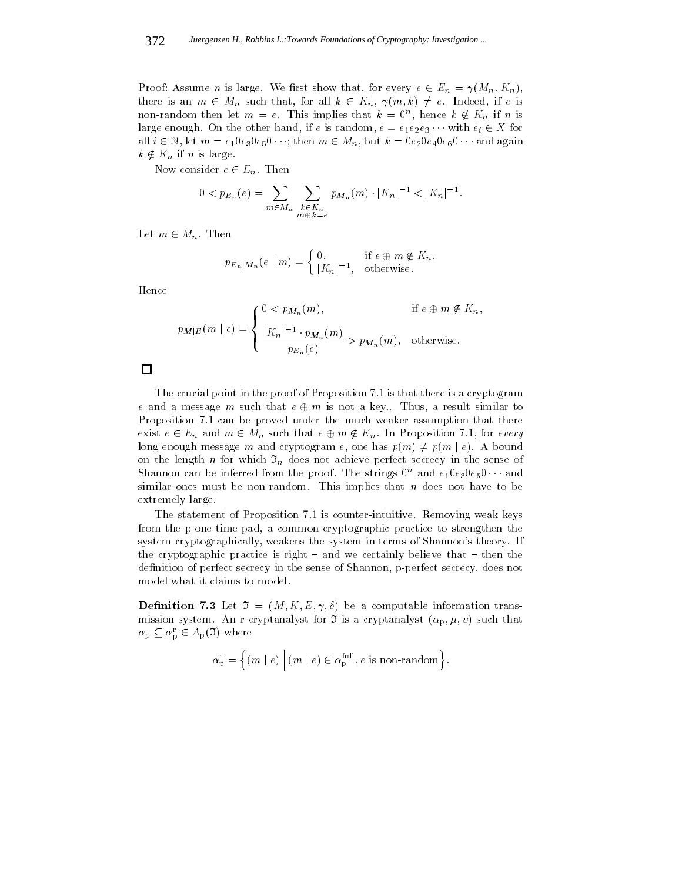$\Theta$  is a summer in the contract show that, for every example,  $\theta$  $t = \frac{1}{2}$  Mn such that, for all k 2 Kn, if  $\frac{1}{2}$  Kn, if  $\frac{1}{2}$  Kn, if  $\frac{1}{2}$  Kn, if  $\frac{1}{2}$  Kn, if  $\frac{1}{2}$ non-random then let  $m = e$ . This implies that  $\kappa = 0$ , hence  $\kappa \notin \Lambda_n$  if n is large enough enough enough is random, if executive  $\mathbf{r}_i$  enough enough enough enough executive  $\mathbf{r}_i$ all  $\epsilon$   $\alpha$ , is all in equation of the  $\epsilon$  m  $\epsilon$  and  $\epsilon$  are  $\epsilon$  of  $\epsilon$  and  $\epsilon$   $\alpha$  and  $\alpha$  $k \notin K_n$  if n is large.

 $\cdots$  consider  $\cdots$   $\cdots$   $\cdots$ 

$$
0 < p_{E_n}(e) = \sum_{m \in M_n} \sum_{\substack{k \in K_n \\ m \oplus k = e}} p_{M_n}(m) \cdot |K_n|^{-1} < |K_n|^{-1}.
$$

 $\blacksquare$  ...  $\blacksquare$  matrix

$$
p_{E_n|M_n}(e \mid m) = \begin{cases} 0, & \text{if } e \oplus m \notin K_n, \\ |K_n|^{-1}, & \text{otherwise.} \end{cases}
$$

Hence

$$
p_{M|E}(m \mid e) = \begin{cases} 0 < p_{M_n}(m), & \text{if } e \in m \notin K_n, \\ \frac{|K_n|^{-1} \cdot p_{M_n}(m)}{p_{E_n}(e)} > p_{M_n}(m), & \text{otherwise.} \end{cases}
$$

The crucial point in the proof of Proposition 7.1 is that there is a cryptogram e and a message m such that e message m is not a message m is not a result similar to the such similar to the s Proposition 7.1 can be proved under the much weaker assumption that there exists a  $2 \leq m \leq m$  m  $2 \leq m \leq m$  such that exists  $2 \leq m \leq m$  . In particular 2.1, for every  $2 \leq m \leq m$ long enough message m and cryptogram e, one has  $p(m) \neq p(m \mid e)$ . A bound on the length n for which  $\mathfrak{I}_n$  does not achieve perfect secrecy in the sense of Shannon can be inferred from the proof. The strings  $0^{\alpha}$  and  $e_10e_30e_50\cdots$  and similar ones must be non-random. This implies that  $n$  does not have to be extremely large.

The statement of Proposition 7.1 is counter-intuitive. Removing weak keys from the p-one-time pad, a common cryptographic practice to strengthen the system cryptographically, weakens the system in terms of Shannon's theory. If the cryptographic practice is right  $-$  and we certainly believe that  $-$  then the definition of perfect secrecy in the sense of Shannon, p-perfect secrecy, does not model what it claims to model.

**Definition 7.3** Let  $\mathfrak{I} = (M, K, E, \gamma, \delta)$  be a computable information transmission system. An r-cryptanalyst for  $\Im$  is a cryptanalyst  $(\alpha_p, \mu, v)$  such that  $\alpha_{\rm p} \subseteq \alpha_{\rm p} \in A_{\rm p}(\mathcal{I})$  where

$$
\alpha_{\mathrm{p}}^{\mathrm{r}}=\Big\{ (m \mid e) \ \Big| \ (m \mid e) \in \alpha_{\mathrm{p}}^{\mathrm{full}}, e \ \text{is non-random} \Big\}.
$$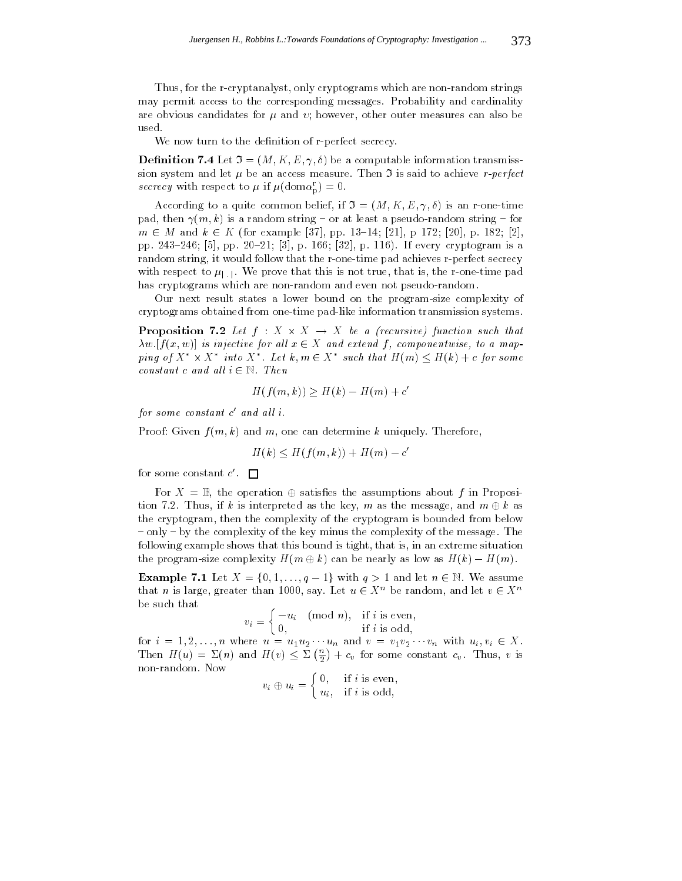Thus, for the r-cryptanalyst, only cryptograms which are non-random strings may permit access to the corresponding messages. Probability and cardinality are obvious candidates for  $\mu$  and  $\nu$ ; however, other outer measures can also be used.

We now turn to the definition of r-perfect secrecy.

**Definition 7.4** Let  $\mathfrak{I} = (M, K, E, \gamma, \delta)$  be a computable information transmisssion system and let  $\mu$  be an access measure. Then  $\mathfrak I$  is said to achieve r-perfect secrecy with respect to  $\mu$  if  $\mu(\text{dom}\alpha_{\rm p}^{\rm r}) = 0$ .

According to a quite common belief, if  $\mathfrak{I} = (M, K, E, \gamma, \delta)$  is an r-one-time pad, then  $\gamma(m, k)$  is a random string – or at least a pseudo-random string – for m 2 <sup>M</sup> and <sup>k</sup> 2 <sup>K</sup> (for example [37], pp. 13{14; [21], p 172; [20], p. 182; [2], pp. 243-246; [5], pp. 20-21; [3], p. 166; [32], p. 116). If every cryptogram is a random string, it would follow that the r-one-time pad achieves r-perfect secrecy with respect to  $\mu_{\text{min}}$ . We prove that this is not true, that is, the r-one-time pad has cryptograms which are non-random and even not pseudo-random.

Our next result states a lower bound on the program-size complexity of cryptograms obtained from one-time pad-like information transmission systems.

 $\mathbb{P}$  reposition  $\mathbb{P}$  . If  $\mathbb{P}$  is a fixed  $\mathbb{P}$  function such that w:[f (x; w)] is injective for al l x 2 <sup>X</sup> and extend <sup>f</sup> , componentwise, to a mapping of  $X \times X$  into  $X \times \text{Let } \kappa, m \in X$  such that  $H(m) \le H(\kappa) + c$  for some constant c and all  $\epsilon$  will ensure

$$
H(f(m,k)) \ge H(k) - H(m) + c'
$$

for some constant c-ana att i.

Proof: Given  $f(m, k)$  and m, one can determine k uniquely. Therefore,

$$
H(k) \le H(f(m,k)) + H(m) - c'
$$

for some constant c  $\blacksquare$ 

For  $\mathbf{r}_1$  ,  $\mathbf{r}_2$  , the operation is assumed that assumptions about f in Proposition tion  $\alpha$  is interpreted as the key for the key, m as the message, and message, and m  $\alpha$  m as the m the cryptogram, then the complexity of the cryptogram is bounded from below { only { by the complexity of the key minus the complexity of the message. The following example shows that this bound is tight, that is, in an extreme situation the program-size complexity H(m). The nearly assumption be nearly as  $\mathcal{N}(k)$  is a low as  $\mathcal{N}(k)$ 

 $\text{Example 7.1:}$  Let  $\begin{bmatrix} 0,1,1,1,1 \\ 0,1,1,1,1,1 \end{bmatrix}$  with  $\begin{bmatrix} 1 \\ 2 \end{bmatrix}$  is and let  $\begin{bmatrix} 0 \\ 2 \end{bmatrix}$ . We assume that *n* is large, greater than 1000, say. Let  $u \in \Lambda$  be random, and let  $v \in \Lambda$ be such that

$$
v_i = \begin{cases} -u_i & \text{(mod } n), & \text{if } i \text{ is even,} \\ 0, & \text{if } i \text{ is odd,} \end{cases}
$$

for in  $\mathcal{L} = \{ \mathcal{L} \mid \mathcal{L} \}$  where  $\mathcal{L} = \{ \mathcal{L} \mid \mathcal{L} \mid \mathcal{L} \}$  and variable under with  $\mathcal{L} = \{ \mathcal{L} \mid \mathcal{L} \}$  $T = T_{\text{max}} + T_{\text{max}} + T_{\text{max}} + T_{\text{max}} + T_{\text{max}} + T_{\text{max}} + T_{\text{max}} + T_{\text{max}} + T_{\text{max}} + T_{\text{max}} + T_{\text{max}} + T_{\text{max}} + T_{\text{max}} + T_{\text{max}} + T_{\text{max}} + T_{\text{max}} + T_{\text{max}} + T_{\text{max}} + T_{\text{max}} + T_{\text{max}} + T_{\text{max}} + T_{\text{max}} + T_{\text{max}} + T_{\text{max}} + T_{\text{max}} + T_{\text{max}} + T_{\text{max}} + T_{$  $\left(\frac{n}{2}\right) + c_v$  for some constant  $c_v$ . Thus, v is non-random. Now 

$$
v_i \oplus u_i = \begin{cases} 0, & \text{if } i \text{ is even,} \\ u_i, & \text{if } i \text{ is odd,} \end{cases}
$$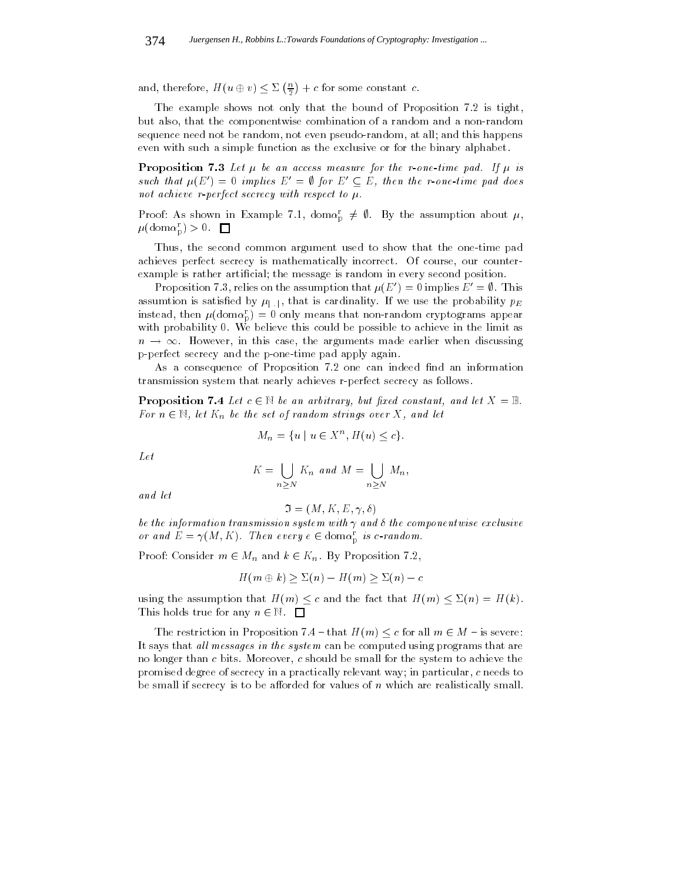and, therefore, H(u  $\sim$  v)  $\sim$  v)  $\sim$  v2.  $\left(\frac{n}{2}\right) + c$  for some constant c.

The example shows not only that the bound of Proposition 7.2 is tight, but also, that the componentwise combination of a random and a non-random sequence need not be random, not even pseudo-random, at all; and this happens even with such a simple function as the exclusive or for the binary alphabet.

**Proposition 7.3** Let  $\mu$  be an access measure for the r-one-time pad. If  $\mu$  is such that  $\mu(E_0)=0$  implies  $E_0=\emptyset$  for  $E_1\subseteq E$ , then the r-one-time pad does not achieve r-perfect secrecy with respect to  $\mu$ .

Proof: As shown in Example 7.1, dom $\alpha_{\rm p}^{\rm r} \neq \emptyset$ . By the assumption about  $\mu$ ,  $\mu(\text{dom}\alpha_{\rm p}^{\rm r}) > 0.$   $\Box$ 

Thus, the second common argument used to show that the one-time pad achieves perfect secrecy is mathematically incorrect. Of course, our counterexample is rather articial; the message is random in every second position.

Proposition 7.3, relies on the assumption that  $\mu(E') = 0$  implies  $E' = \emptyset$ . This assumtion is satisfied by  $\mu_{\text{min}}$ , that is cardinality. If we use the probability  $p_E$ instead, then  $\mu(\text{dom}\alpha_{\text{D}}^{r}) = 0$  only means that non-random cryptograms appear with probability 0. We believe this could be possible to achieve in the limit as p-perfect secrecy and the p-one-time pad apply again.

As a consequence of Proposition 7.2 one can indeed find an information transmission system that nearly achieves r-perfect secrecy as follows.

 $\mathbb{P}$  representent  $\mathbb{P}$  is a set of an arbitrary, but joint constant, and let  $\mathbb{P}$  . For n  $\epsilon_{\mu}$ , let  $\epsilon_{\mu}$  be the set of random strings over  $\epsilon_{\nu}$ , and let

$$
M_n = \{u \mid u \in X^n, H(u) \le c\}.
$$

Let

$$
K = \bigcup_{n \geq N} K_n \text{ and } M = \bigcup_{n \geq N} M_n,
$$

and let

$$
\mathfrak{I}=(M,K,E,\gamma,\delta)
$$

be the information transmission system with  $\gamma$  and  $\delta$  the componentwise exclusive or and  $E = \gamma(M, K)$ . Then every  $e \in \text{dom}\alpha_{\bar{p}}$  is c-random.

 $P$  is a constant m  $C$  map and  $R$   $C$  is  $R$  for  $\mathcal{P}$  is a constant  $P$  and  $\mathcal{P}$ 

$$
H(m \oplus k) \ge \Sigma(n) - H(m) \ge \Sigma(n) - c
$$

using the assumption that H(m)  $\lambda$  and the fact that H(m)  $\lambda$  and  $\lambda$ . H(m)  $\lambda$  $T$  and  $T$  and  $T$  and  $T$  and  $T$  and  $T$  and  $T$  and  $T$ 

The restriction  $\mathcal{L}$  and  $\mathcal{L}$  are  $\mathcal{L}$  and  $\mathcal{L}$  all mass  $\mathcal{L}$  and  $\mathcal{L}$  are  $\mathcal{L}$  and  $\mathcal{L}$  are  $\mathcal{L}$  and  $\mathcal{L}$  are  $\mathcal{L}$  and  $\mathcal{L}$  are  $\mathcal{L}$  and  $\mathcal{L}$  are  $\mathcal{L}$  and  $\mathcal{$ It says that all messages in the system can be computed using programs that are no longer than c bits. Moreover, c should be small for the system to achieve the promised degree of secrecy in a practically relevant way; in particular, c needs to be small if secrecy is to be afforded for values of  $n$  which are realistically small.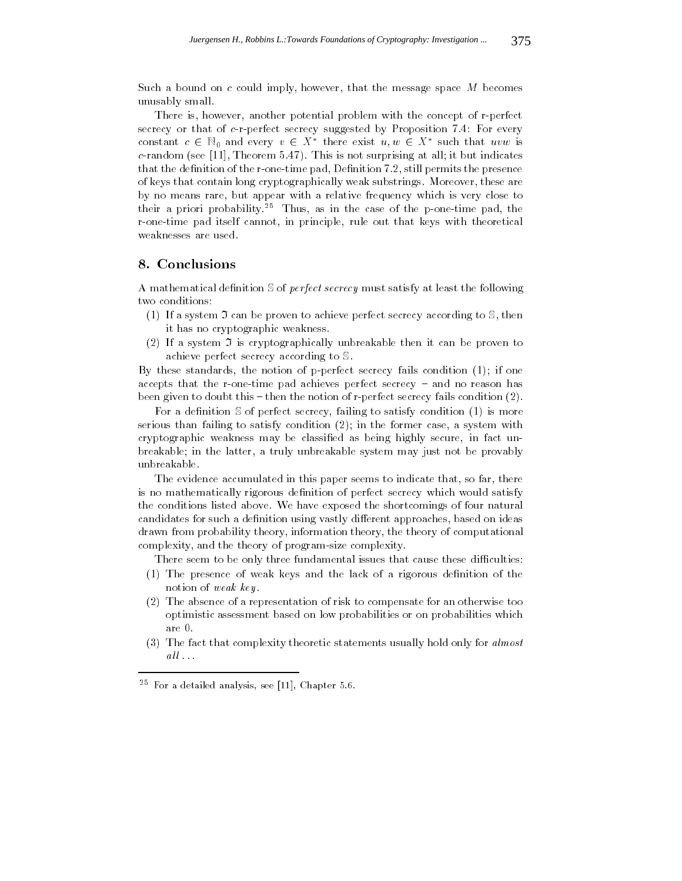Such a bound on c could imply, however, that the message space  $M$  becomes unusably small.

There is, however, another potential problem with the concept of r-perfect secrecy or that of c-r-perfect secrecy suggested by Proposition 7.4: For every constant  $c \in \mathbb{N}_0$  and every  $v \in \Lambda$  there exist  $u, w \in \Lambda$  such that uvw is c-random (see [11], Theorem  $5.47$ ). This is not surprising at all; it but indicates that the definition of the r-one-time pad, Definition  $7.2$ , still permits the presence of keys that contain long cryptographically weak substrings. Moreover, these are by no means rare, but appear with a relative frequency which is very close to their a priori probability.<sup>25</sup> Thus, as in the case of the p-one-time pad, the r-one-time pad itself cannot, in principle, rule out that keys with theoretical weaknesses are used.

## 8. Conclusions

A mathematical definition  $S$  of *perfect secrecy* must satisfy at least the following two conditions:

- (1) If a system  $\mathfrak I$  can be proven to achieve perfect secrecy according to  $\mathbb S$ , then it has no cryptographic weakness.
- (2) If a system  $\mathfrak I$  is cryptographically unbreakable then it can be proven to achieve perfect secrecy according to S.

By these standards, the notion of p-perfect secrecy fails condition (1); if one accepts that the r-one-time pad achieves perfect secrecy  $-$  and no reason has been given to doubt this  $-$  then the notion of r-perfect secrecy fails condition  $(2)$ .

For a definition  $S$  of perfect secrecy, failing to satisfy condition (1) is more serious than failing to satisfy condition (2); in the former case, a system with cryptographic weakness may be classied as being highly secure, in fact unbreakable; in the latter, a truly unbreakable system may just not be provably unbreakable.

The evidence accumulated in this paper seems to indicate that, so far, there is no mathematically rigorous definition of perfect secrecy which would satisfy the conditions listed above. We have exposed the shortcomings of four natural candidates for such a definition using vastly different approaches, based on ideas drawn from probability theory, information theory, the theory of computational complexity, and the theory of program-size complexity.

There seem to be only three fundamental issues that cause these difficulties:

- (1) The presence of weak keys and the lack of a rigorous denition of the notion of weak key.
- (2) The absence of a representation of risk to compensate for an otherwise too optimistic assessment based on low probabilities or on probabilities which are 0.
- (3) The fact that complexity theoretic statements usually hold only for almost  $all \ldots$

<sup>25</sup> For a detailed analysis, see [11], Chapter 5.6.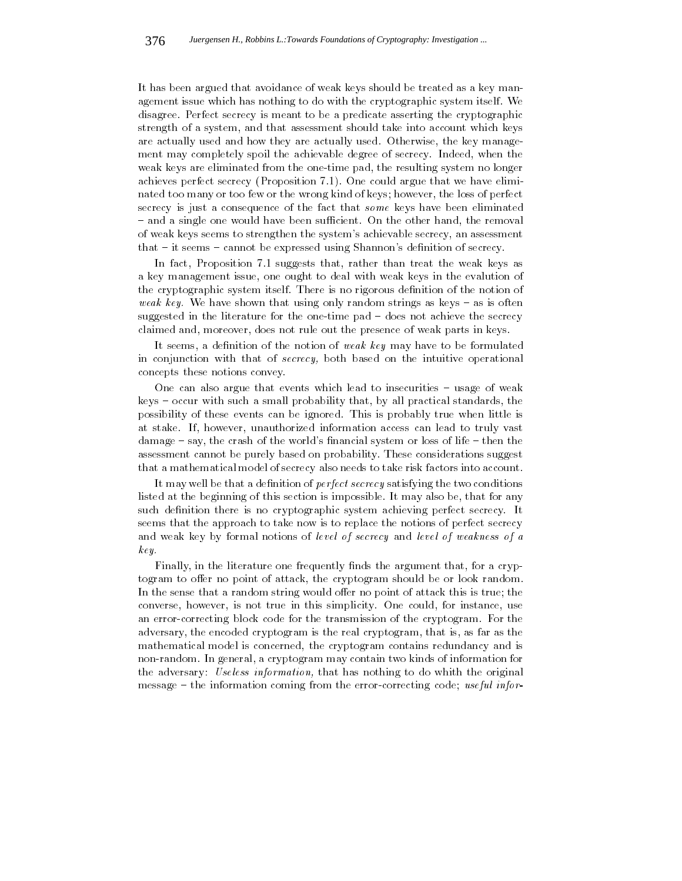It has been argued that avoidance of weak keys should be treated as a key management issue which has nothing to do with the cryptographic system itself. We disagree. Perfect secrecy is meant to be a predicate asserting the cryptographic strength of a system, and that assessment should take into account which keys are actually used and how they are actually used. Otherwise, the key manage ment may completely spoil the achievable degree of secrecy. Indeed, when the weak keys are eliminated from the one-time pad, the resulting system no longer achieves perfect secrecy (Proposition 7.1). One could argue that we have eliminated too many or too few or the wrong kind of keys; however, the loss of perfect secrecy is just a consequence of the fact that some keys have been eliminated - and a single one would have been sufficient. On the other hand, the removal of weak keys seems to strengthen the system's achievable secrecy, an assessment that  $-$  it seems  $-$  cannot be expressed using Shannon's definition of secrecy.

In fact, Proposition 7.1 suggests that, rather than treat the weak keys as a key management issue, one ought to deal with weak keys in the evalution of the cryptographic system itself. There is no rigorous definition of the notion of weak key. We have shown that using only random strings as keys  $-$  as is often suggested in the literature for the one-time pad – does not achieve the secrecy claimed and, moreover, does not rule out the presence of weak parts in keys.

It seems, a definition of the notion of *weak key* may have to be formulated in conjunction with that of secrecy, both based on the intuitive operational concepts these notions convey.

One can also argue that events which lead to insecurities  $-$  usage of weak keys – occur with such a small probability that, by all practical standards, the possibility of these events can be ignored. This is probably true when little is at stake. If, however, unauthorized information access can lead to truly vast  $d$ amage  $-$  say, the crash of the world's financial system or loss of life  $-$  then the assessment cannot be purely based on probability. These considerations suggest that a mathematical model of secrecy also needs to take risk factors into account.

It may well be that a definition of  $perfect\;sec\;recy$  satisfying the two conditions listed at the beginning of this section is impossible. It may also be, that for any such definition there is no cryptographic system achieving perfect secrecy. It seems that the approach to take now is to replace the notions of perfect secrecy and weak key by formal notions of level of secrecy and level of weakness of a key.

Finally, in the literature one frequently finds the argument that, for a cryptogram to offer no point of attack, the cryptogram should be or look random. In the sense that a random string would offer no point of attack this is true; the converse, however, is not true in this simplicity. One could, for instance, use an error-correcting block code for the transmission of the cryptogram. For the adversary, the encoded cryptogram is the real cryptogram, that is, as far as the mathematical model is concerned, the cryptogram contains redundancy and is non-random. In general, a cryptogram may contain two kinds of information for the adversary: Useless information, that has nothing to do whith the original message  $-$  the information coming from the error-correcting code; useful infor-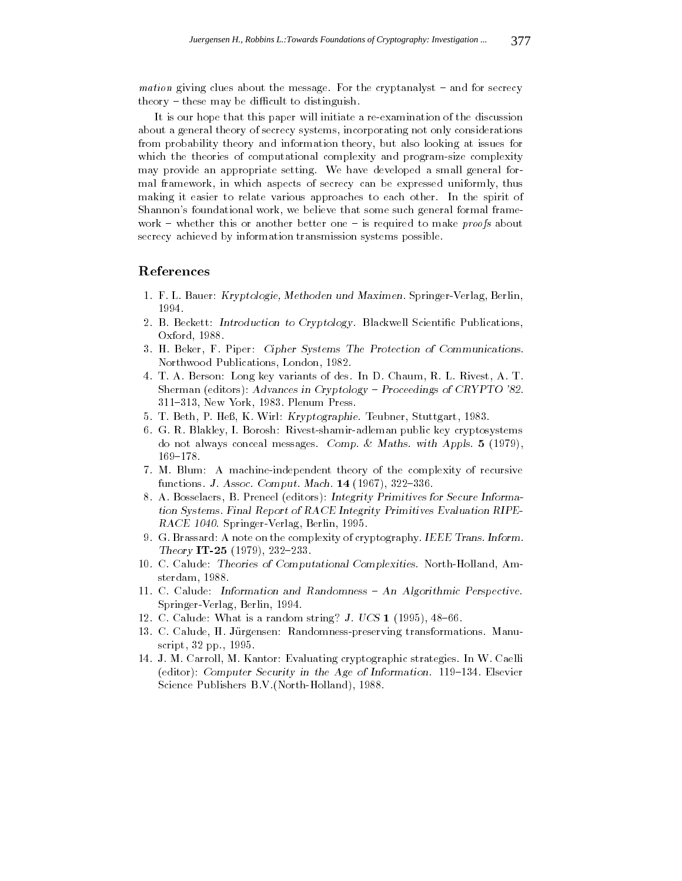*mation* giving clues about the message. For the cryptanalyst  $-$  and for secrecy  $theory - these$  may be difficult to distinguish.

It is our hope that this paper will initiate a re-examination of the discussion about a general theory of secrecy systems, incorporating not only considerations from probability theory and information theory, but also looking at issues for which the theories of computational complexity and program-size complexity may provide an appropriate setting. We have developed a small general formal framework, in which aspects of secrecy can be expressed uniformly, thus making it easier to relate various approaches to each other. In the spirit of Shannon's foundational work, we believe that some such general formal frame work – whether this or another better one – is required to make *proofs* about secrecy achieved by information transmission systems possible.

# References

- 1. F. L. Bauer: Kryptologie, Methoden und Maximen. Springer-Verlag, Berlin, 1994.
- 2. B. Beckett: Introduction to Cryptology. Blackwell Scientific Publications, Oxford, 1988.
- 3. H. Beker, F. Piper: Cipher Systems The Protection of Communications. Northwood Publications, London, 1982.
- 4. T. A. Berson: Long key variants of des. In D. Chaum, R. L. Rivest, A. T. Sherman (editors): Advances in Cryptology - Proceedings of CRYPTO '82. 311{313, New York, 1983. Plenum Press.
- 5. T. Beth, P. Heß, K. Wirl: Kryptographie. Teubner, Stuttgart, 1983.
- 6. G. R. Blakley, I. Borosh: Rivest-shamir-adleman public key cryptosystems do not always conceal messages. Comp. & Maths. with Appls. <sup>5</sup> (1979), 169-178.
- 7. M. Blum: A machine-independent theory of the complexity of recursive functions. J. Assoc. Comput. Mach.  $14$  (1967), 322-336.
- 8. A. Bosselaers, B. Preneel (editors): Integrity Primitives for Secure Information Systems. Final Report of RACE Integrity Primitives Evaluation RIPE-RACE 1040. Springer-Verlag, Berlin, 1995.
- 9. G. Brassard: A note on the complexity of cryptography. IEEE Trans. Inform. Theory IT-25 (1979), 232-233.
- 10. C. Calude: Theories of Computational Complexities. North-Holland, Amsterdam, 1988.
- 11. C. Calude: Information and Randomness  $-$  An Algorithmic Perspective. Springer-Verlag, Berlin, 1994.
- 12. C. Calude: What is a random string? J. UCS  $1$  (1995), 48-66.
- 13. C. Calude, H. Jurgensen: Randomness-preserving transformations. Manuscript, 32 pp., 1995.
- 14. J. M. Carroll, M. Kantor: Evaluating cryptographic strategies. In W. Caelli (editor): Computer Security in the Age of Information.  $119-134$ . Elsevier Science Publishers B.V.(North-Holland), 1988.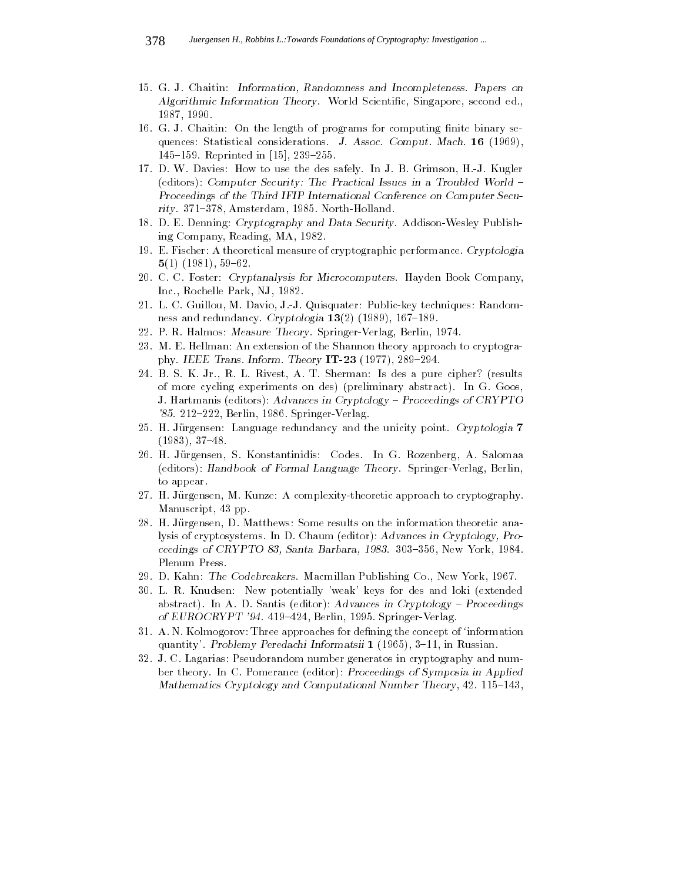- 15. G. J. Chaitin: Information, Randomness and Incompleteness. Papers on Algorithmic Information Theory. World Scientific, Singapore, second ed., 1987, 1990.
- 16. G. J. Chaitin: On the length of programs for computing finite binary sequences: Statistical considerations. J. Assoc. Comput. Mach. <sup>16</sup> (1969), 145-159. Reprinted in  $[15]$ , 239-255.
- 17. D. W. Davies: How to use the des safely. In J. B. Grimson, H.-J. Kugler (editors): Computer Security: The Practical Issues in a Troubled World -Proceedings of the Third IFIP International Conference on Computer Security. 371-378, Amsterdam, 1985. North-Holland.
- 18. D. E. Denning: Cryptography and Data Security. Addison-Wesley Publishing Company, Reading, MA, 1982.
- 19. E. Fischer: A theoretical measure of cryptographic performance. Cryptologia  $5(1)$  (1981), 59-62.
- 20. C. C. Foster: Cryptanalysis for Microcomputers. Hayden Book Company, Inc., Rochelle Park, NJ, 1982.
- 21. L. C. Guillou, M. Davio, J.-J. Quisquater: Public-key techniques: Randomness and redundancy. Cryptologia  $13(2)$  (1989), 167-189.
- 22. P. R. Halmos: Measure Theory. Springer-Verlag, Berlin, 1974.
- 23. M. E. Hellman: An extension of the Shannon theory approach to cryptography. IEEE Trans. Inform. Theory  $IT-23$  (1977), 289-294.
- 24. B. S. K. Jr., R. L. Rivest, A. T. Sherman: Is des a pure cipher? (results of more cycling experiments on des) (preliminary abstract). In G. Goos, J. Hartmanis (editors): Advances in Cryptology - Proceedings of CRYPTO '85. 212-222, Berlin, 1986. Springer-Verlag.
- 25. H. Jürgensen: Language redundancy and the unicity point. Cryptologia 7  $(1983), 37-48.$
- 26. H. Jurgensen, S. Konstantinidis: Codes. In G. Rozenberg, A. Salomaa (editors): Handbook of Formal Language Theory. Springer-Verlag, Berlin, to appear.
- 27. H. Jurgensen, M. Kunze: A complexity-theoretic approach to cryptography. Manuscript, 43 pp.
- 28. H. Jurgensen, D. Matthews: Some results on the information theoretic analysis of cryptosystems. In D. Chaum (editor): Advances in Cryptology, Proceedings of CRYPTO 83, Santa Barbara, 1983. 303-356, New York, 1984. Plenum Press.
- 29. D. Kahn: The Codebreakers. Macmillan Publishing Co., New York, 1967.
- 30. L. R. Knudsen: New potentially 'weak' keys for des and loki (extended abstract). In A. D. Santis (editor): Advances in Cryptology  $-$  Proceedings of EUROCRYPT '94. 419-424, Berlin, 1995. Springer-Verlag.
- 31. A. N. Kolmogorov: Three approaches for defining the concept of 'information quantity'. Problemy Peredachi Informatsii 1 (1965), 3-11, in Russian.
- 32. J. C. Lagarias: Pseudorandom number generatos in cryptography and number theory. In C. Pomerance (editor): Proceedings of Symposia in Applied Mathematics Cryptology and Computational Number Theory, 42. 115-143,